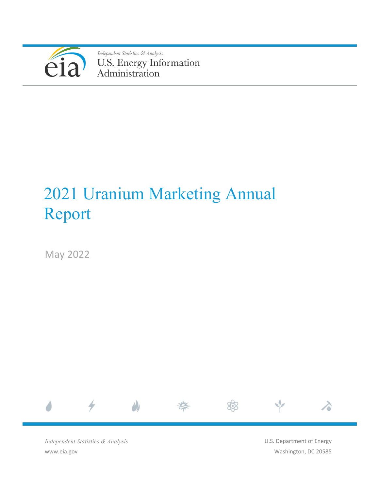

Independent Statistics & Analysis U.S. Energy Information<br>Administration

# 2021 Uranium Marketing Annual Report

May 2022



*Independent Statistics & Analysis* www.eia.gov

U.S. Department of Energy Washington, DC 20585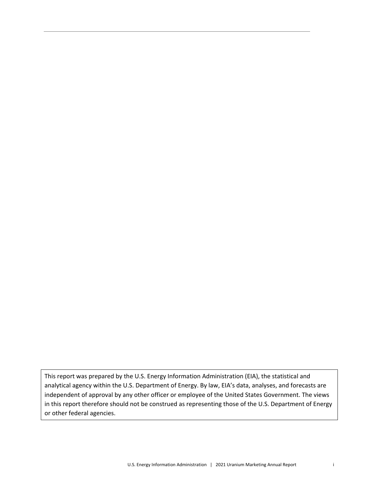This report was prepared by the U.S. Energy Information Administration (EIA), the statistical and analytical agency within the U.S. Department of Energy. By law, EIA's data, analyses, and forecasts are independent of approval by any other officer or employee of the United States Government. The views in this report therefore should not be construed as representing those of the U.S. Department of Energy or other federal agencies.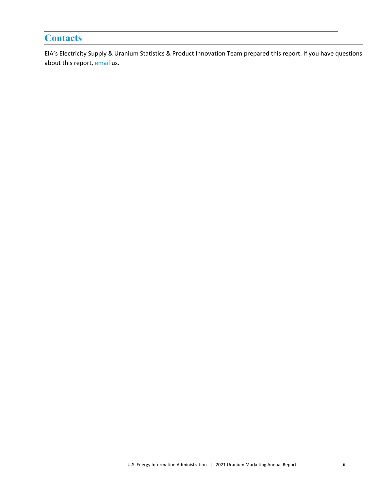# <span id="page-2-0"></span>**Contacts**

EIA's Electricity Supply & Uranium Statistics & Product Innovation Team prepared this report. If you have questions about this report, [email](mailto:eiainfonuclear@eia.gov) us.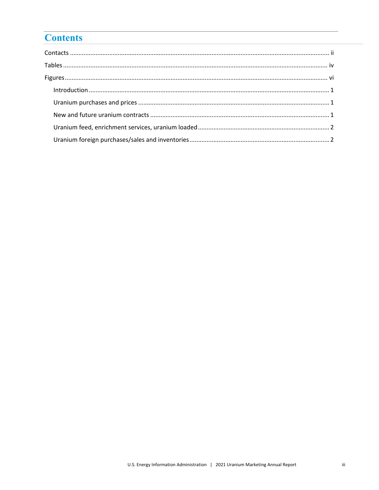# **Contents**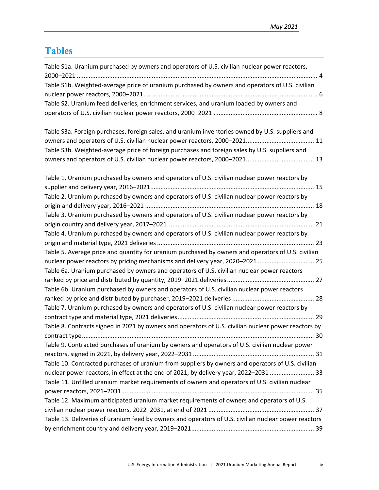# <span id="page-4-0"></span>**Tables**

| Table S1a. Uranium purchased by owners and operators of U.S. civilian nuclear power reactors,        |  |
|------------------------------------------------------------------------------------------------------|--|
| Table S1b. Weighted-average price of uranium purchased by owners and operators of U.S. civilian      |  |
|                                                                                                      |  |
| Table S2. Uranium feed deliveries, enrichment services, and uranium loaded by owners and             |  |
|                                                                                                      |  |
| Table S3a. Foreign purchases, foreign sales, and uranium inventories owned by U.S. suppliers and     |  |
|                                                                                                      |  |
|                                                                                                      |  |
| Table S3b. Weighted-average price of foreign purchases and foreign sales by U.S. suppliers and       |  |
|                                                                                                      |  |
| Table 1. Uranium purchased by owners and operators of U.S. civilian nuclear power reactors by        |  |
|                                                                                                      |  |
| Table 2. Uranium purchased by owners and operators of U.S. civilian nuclear power reactors by        |  |
|                                                                                                      |  |
| Table 3. Uranium purchased by owners and operators of U.S. civilian nuclear power reactors by        |  |
|                                                                                                      |  |
| Table 4. Uranium purchased by owners and operators of U.S. civilian nuclear power reactors by        |  |
|                                                                                                      |  |
| Table 5. Average price and quantity for uranium purchased by owners and operators of U.S. civilian   |  |
| nuclear power reactors by pricing mechanisms and delivery year, 2020-2021  25                        |  |
| Table 6a. Uranium purchased by owners and operators of U.S. civilian nuclear power reactors          |  |
|                                                                                                      |  |
| Table 6b. Uranium purchased by owners and operators of U.S. civilian nuclear power reactors          |  |
|                                                                                                      |  |
| Table 7. Uranium purchased by owners and operators of U.S. civilian nuclear power reactors by        |  |
|                                                                                                      |  |
| Table 8. Contracts signed in 2021 by owners and operators of U.S. civilian nuclear power reactors by |  |
|                                                                                                      |  |
| Table 9. Contracted purchases of uranium by owners and operators of U.S. civilian nuclear power      |  |
|                                                                                                      |  |
| Table 10. Contracted purchases of uranium from suppliers by owners and operators of U.S. civilian    |  |
| nuclear power reactors, in effect at the end of 2021, by delivery year, 2022-2031  33                |  |
| Table 11. Unfilled uranium market requirements of owners and operators of U.S. civilian nuclear      |  |
|                                                                                                      |  |
| Table 12. Maximum anticipated uranium market requirements of owners and operators of U.S.            |  |
|                                                                                                      |  |
| Table 13. Deliveries of uranium feed by owners and operators of U.S. civilian nuclear power reactors |  |
|                                                                                                      |  |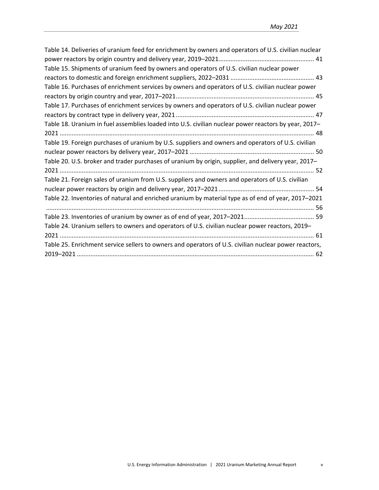| Table 14. Deliveries of uranium feed for enrichment by owners and operators of U.S. civilian nuclear  |
|-------------------------------------------------------------------------------------------------------|
|                                                                                                       |
| Table 15. Shipments of uranium feed by owners and operators of U.S. civilian nuclear power            |
|                                                                                                       |
| Table 16. Purchases of enrichment services by owners and operators of U.S. civilian nuclear power     |
|                                                                                                       |
| Table 17. Purchases of enrichment services by owners and operators of U.S. civilian nuclear power     |
|                                                                                                       |
| Table 18. Uranium in fuel assemblies loaded into U.S. civilian nuclear power reactors by year, 2017-  |
|                                                                                                       |
| Table 19. Foreign purchases of uranium by U.S. suppliers and owners and operators of U.S. civilian    |
|                                                                                                       |
| Table 20. U.S. broker and trader purchases of uranium by origin, supplier, and delivery year, 2017–   |
|                                                                                                       |
| Table 21. Foreign sales of uranium from U.S. suppliers and owners and operators of U.S. civilian      |
|                                                                                                       |
| Table 22. Inventories of natural and enriched uranium by material type as of end of year, 2017–2021   |
|                                                                                                       |
|                                                                                                       |
| Table 24. Uranium sellers to owners and operators of U.S. civilian nuclear power reactors, 2019-      |
|                                                                                                       |
| Table 25. Enrichment service sellers to owners and operators of U.S. civilian nuclear power reactors, |
|                                                                                                       |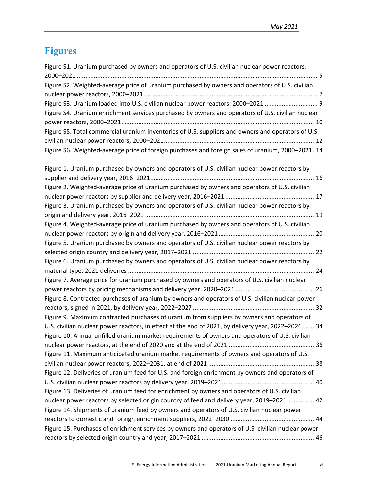# <span id="page-6-0"></span>**Figures**

| Figure S1. Uranium purchased by owners and operators of U.S. civilian nuclear power reactors,      |  |
|----------------------------------------------------------------------------------------------------|--|
| Figure S2. Weighted-average price of uranium purchased by owners and operators of U.S. civilian    |  |
|                                                                                                    |  |
| Figure S3. Uranium loaded into U.S. civilian nuclear power reactors, 2000-2021  9                  |  |
| Figure S4. Uranium enrichment services purchased by owners and operators of U.S. civilian nuclear  |  |
|                                                                                                    |  |
| Figure S5. Total commercial uranium inventories of U.S. suppliers and owners and operators of U.S. |  |
|                                                                                                    |  |
| Figure S6. Weighted-average price of foreign purchases and foreign sales of uranium, 2000-2021. 14 |  |
| Figure 1. Uranium purchased by owners and operators of U.S. civilian nuclear power reactors by     |  |
|                                                                                                    |  |
| Figure 2. Weighted-average price of uranium purchased by owners and operators of U.S. civilian     |  |
|                                                                                                    |  |
| Figure 3. Uranium purchased by owners and operators of U.S. civilian nuclear power reactors by     |  |
|                                                                                                    |  |
| Figure 4. Weighted-average price of uranium purchased by owners and operators of U.S. civilian     |  |
|                                                                                                    |  |
| Figure 5. Uranium purchased by owners and operators of U.S. civilian nuclear power reactors by     |  |
|                                                                                                    |  |
| Figure 6. Uranium purchased by owners and operators of U.S. civilian nuclear power reactors by     |  |
|                                                                                                    |  |
| Figure 7. Average price for uranium purchased by owners and operators of U.S. civilian nuclear     |  |
|                                                                                                    |  |
| Figure 8. Contracted purchases of uranium by owners and operators of U.S. civilian nuclear power   |  |
|                                                                                                    |  |
| Figure 9. Maximum contracted purchases of uranium from suppliers by owners and operators of        |  |
| U.S. civilian nuclear power reactors, in effect at the end of 2021, by delivery year, 2022-2026 34 |  |
| Figure 10. Annual unfilled uranium market requirements of owners and operators of U.S. civilian    |  |
|                                                                                                    |  |
| Figure 11. Maximum anticipated uranium market requirements of owners and operators of U.S.         |  |
|                                                                                                    |  |
| Figure 12. Deliveries of uranium feed for U.S. and foreign enrichment by owners and operators of   |  |
|                                                                                                    |  |
| Figure 13. Deliveries of uranium feed for enrichment by owners and operators of U.S. civilian      |  |
| nuclear power reactors by selected origin country of feed and delivery year, 2019-2021 42          |  |
| Figure 14. Shipments of uranium feed by owners and operators of U.S. civilian nuclear power        |  |
|                                                                                                    |  |
| Figure 15. Purchases of enrichment services by owners and operators of U.S. civilian nuclear power |  |
|                                                                                                    |  |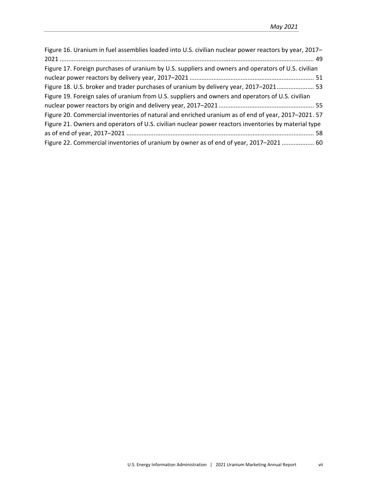| Figure 16. Uranium in fuel assemblies loaded into U.S. civilian nuclear power reactors by year, 2017- |
|-------------------------------------------------------------------------------------------------------|
|                                                                                                       |
| Figure 17. Foreign purchases of uranium by U.S. suppliers and owners and operators of U.S. civilian   |
|                                                                                                       |
| Figure 18. U.S. broker and trader purchases of uranium by delivery year, 2017-2021 53                 |
| Figure 19. Foreign sales of uranium from U.S. suppliers and owners and operators of U.S. civilian     |
|                                                                                                       |
| Figure 20. Commercial inventories of natural and enriched uranium as of end of year, 2017-2021. 57    |
| Figure 21. Owners and operators of U.S. civilian nuclear power reactors inventories by material type  |
|                                                                                                       |
| Figure 22. Commercial inventories of uranium by owner as of end of year, 2017–2021  60                |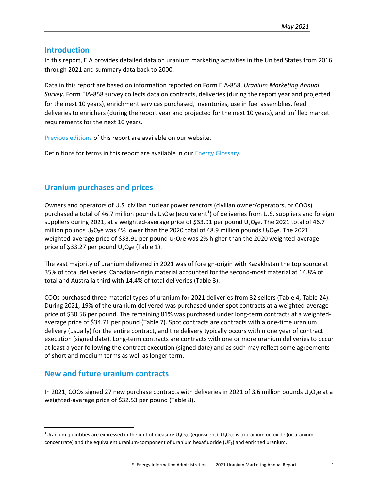# <span id="page-8-0"></span>**Introduction**

In this report, EIA provides detailed data on uranium marketing activities in the United States from 2016 through 2021 and summary data back to 2000.

Data in this report are based on information reported on Form EIA-858, *Uranium Marketing Annual Survey*. Form EIA-858 survey collects data on contracts, deliveries (during the report year and projected for the next 10 years), enrichment services purchased, inventories, use in fuel assemblies, feed deliveries to enrichers (during the report year and projected for the next 10 years), and unfilled market requirements for the next 10 years.

[Previous editions](https://www.eia.gov/nuclear/) of this report are available on our website.

Definitions for terms in this report are available in our [Energy Glossary.](http://www.eia.doe.gov/glossary/)

# <span id="page-8-1"></span>**Uranium purchases and prices**

Owners and operators of U.S. civilian nuclear power reactors (civilian owner/operators, or COOs) purchased a total of 46.7 million pounds U<sub>3</sub>O<sub>8</sub>e (equivalent<sup>[1](#page-8-3)</sup>) of deliveries from U.S. suppliers and foreign suppliers during 2021, at a weighted-average price of \$33.91 per pound  $U_3O_8e$ . The 2021 total of 46.7 million pounds  $U_3O_8$ e was 4% lower than the 2020 total of 48.9 million pounds  $U_3O_8$ e. The 2021 weighted-average price of \$33.91 per pound  $U_3O_8e$  was 2% higher than the 2020 weighted-average price of \$33.27 per pound  $U_3O_8$ e (Table 1).

The vast majority of uranium delivered in 2021 was of foreign-origin with Kazakhstan the top source at 35% of total deliveries. Canadian-origin material accounted for the second-most material at 14.8% of total and Australia third with 14.4% of total deliveries (Table 3).

COOs purchased three material types of uranium for 2021 deliveries from 32 sellers (Table 4, Table 24). During 2021, 19% of the uranium delivered was purchased under spot contracts at a weighted-average price of \$30.56 per pound. The remaining 81% was purchased under long-term contracts at a weightedaverage price of \$34.71 per pound (Table 7). Spot contracts are contracts with a one-time uranium delivery (usually) for the entire contract, and the delivery typically occurs within one year of contract execution (signed date). Long-term contracts are contracts with one or more uranium deliveries to occur at least a year following the contract execution (signed date) and as such may reflect some agreements of short and medium terms as well as longer term.

# <span id="page-8-2"></span>**New and future uranium contracts**

In 2021, COOs signed 27 new purchase contracts with deliveries in 2021 of 3.6 million pounds  $U_3O_8$ e at a weighted-average price of \$32.53 per pound (Table 8).

<span id="page-8-3"></span><sup>&</sup>lt;sup>1</sup>Uranium quantities are expressed in the unit of measure U<sub>3</sub>O<sub>8</sub>e (equivalent). U<sub>3</sub>O<sub>8</sub>e is triuranium octoxide (or uranium concentrate) and the equivalent uranium-component of uranium hexafluoride ( $UF<sub>6</sub>$ ) and enriched uranium.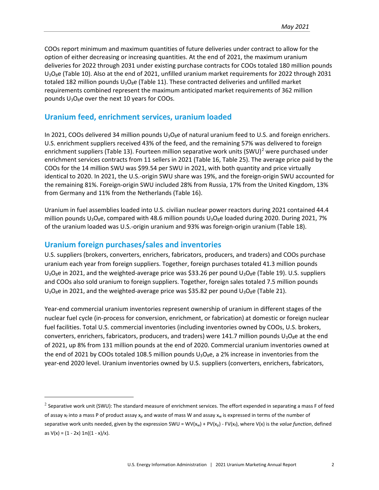COOs report minimum and maximum quantities of future deliveries under contract to allow for the option of either decreasing or increasing quantities. At the end of 2021, the maximum uranium deliveries for 2022 through 2031 under existing purchase contracts for COOs totaled 180 million pounds U<sub>3</sub>O<sub>8</sub>e (Table 10). Also at the end of 2021, unfilled uranium market requirements for 2022 through 2031 totaled 182 million pounds  $U_3O_8e$  (Table 11). These contracted deliveries and unfilled market requirements combined represent the maximum anticipated market requirements of 362 million pounds  $U_3O_8e$  over the next 10 years for COOs.

# <span id="page-9-0"></span>**Uranium feed, enrichment services, uranium loaded**

In 2021, COOs delivered 34 million pounds  $U_3O_8e$  of natural uranium feed to U.S. and foreign enrichers. U.S. enrichment suppliers received 43% of the feed, and the remaining 57% was delivered to foreign enrichment suppliers (Table 13). Fourteen million separative work units  $(SWU)^2$  $(SWU)^2$  were purchased under enrichment services contracts from 11 sellers in 2021 (Table 16, Table 25). The average price paid by the COOs for the 14 million SWU was \$99.54 per SWU in 2021, with both quantity and price virtually identical to 2020. In 2021, the U.S.-origin SWU share was 19%, and the foreign-origin SWU accounted for the remaining 81%. Foreign-origin SWU included 28% from Russia, 17% from the United Kingdom, 13% from Germany and 11% from the Netherlands (Table 16).

Uranium in fuel assemblies loaded into U.S. civilian nuclear power reactors during 2021 contained 44.4 million pounds  $U_3O_8$ e, compared with 48.6 million pounds  $U_3O_8$ e loaded during 2020. During 2021, 7% of the uranium loaded was U.S.-origin uranium and 93% was foreign-origin uranium (Table 18).

# <span id="page-9-1"></span>**Uranium foreign purchases/sales and inventories**

l

U.S. suppliers (brokers, converters, enrichers, fabricators, producers, and traders) and COOs purchase uranium each year from foreign suppliers. Together, foreign purchases totaled 41.3 million pounds  $U_3O_8e$  in 2021, and the weighted-average price was \$33.26 per pound  $U_3O_8e$  (Table 19). U.S. suppliers and COOs also sold uranium to foreign suppliers. Together, foreign sales totaled 7.5 million pounds  $U_3O_8e$  in 2021, and the weighted-average price was \$35.82 per pound  $U_3O_8e$  (Table 21).

Year-end commercial uranium inventories represent ownership of uranium in different stages of the nuclear fuel cycle (in-process for conversion, enrichment, or fabrication) at domestic or foreign nuclear fuel facilities. Total U.S. commercial inventories (including inventories owned by COOs, U.S. brokers, converters, enrichers, fabricators, producers, and traders) were 141.7 million pounds  $U_3O_8$ e at the end of 2021, up 8% from 131 million pounds at the end of 2020. Commercial uranium inventories owned at the end of 2021 by COOs totaled 108.5 million pounds  $U_3O_8e$ , a 2% increase in inventories from the year-end 2020 level. Uranium inventories owned by U.S. suppliers (converters, enrichers, fabricators,

<span id="page-9-2"></span> $2$  Separative work unit (SWU): The standard measure of enrichment services. The effort expended in separating a mass F of feed of assay  $x_f$  into a mass P of product assay  $x_p$  and waste of mass W and assay  $x_w$  is expressed in terms of the number of separative work units needed, given by the expression SWU = WV(x<sub>w</sub>) + PV(x<sub>p</sub>) - FV(x<sub>f</sub>), where V(x) is the *value function*, defined as  $V(x) = (1 - 2x) \ln((1 - x)/x)$ .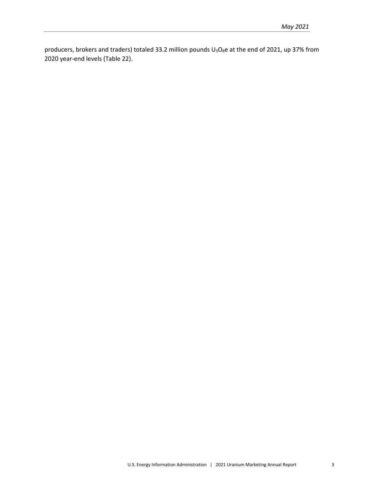producers, brokers and traders) totaled 33.2 million pounds  $U_3O_8e$  at the end of 2021, up 37% from 2020 year-end levels (Table 22).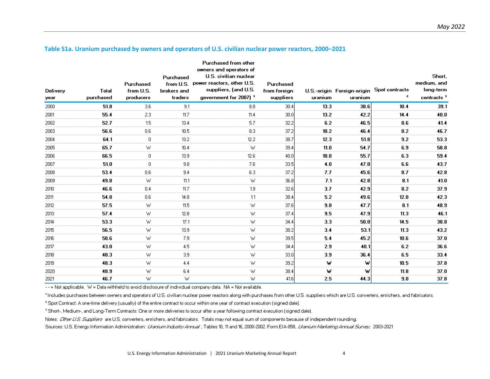<span id="page-11-0"></span>

| Delivery<br>year | Total<br>purchased | Purchased<br>from U.S.<br>producers | Purchased<br>from U.S.<br>brokers and<br>traders | Purchased from other<br>owners and operators of<br>U.S. civilian nuclear<br>power reactors, other U.S.<br>suppliers, (and U.S.<br>government for 2007) 1 | Purchased<br>from foreign<br>suppliers | uranium | U.S.-origin Foreign-origin Spot contracts<br>uranium | z    | Short,<br>medium, and<br>long-term<br>contracts $3$ |
|------------------|--------------------|-------------------------------------|--------------------------------------------------|----------------------------------------------------------------------------------------------------------------------------------------------------------|----------------------------------------|---------|------------------------------------------------------|------|-----------------------------------------------------|
| 2000             | 51.8               | 3.6                                 | 9.1                                              | 8.8                                                                                                                                                      | 30.4                                   | 13.3    | 38.6                                                 | 10.4 | 39.1                                                |
| 2001             | 55.4               | 2.3                                 | 11.7                                             | 11.4                                                                                                                                                     | 30.0                                   | 13.2    | 42.2                                                 | 14.4 | 40.0                                                |
| 2002             | 52.7               | 1.5                                 | 13.4                                             | 5.7                                                                                                                                                      | 32.2                                   | 6.2     | 46.5                                                 | 8.6  | 41.4                                                |
| 2003             | 56.6               | 0.6                                 | 10.5                                             | 8.3                                                                                                                                                      | 37.2                                   | 10.2    | 46.4                                                 | 8.2  | 46.7                                                |
| 2004             | 64.1               | $\mathbf{0}$                        | 13.2                                             | 12.2                                                                                                                                                     | 38.7                                   | 12.3    | 51.8                                                 | 9.2  | 53.3                                                |
| 2005             | 65.7               | W                                   | 10.4                                             | W                                                                                                                                                        | 39.4                                   | 11.0    | 54.7                                                 | 6.9  | 58.8                                                |
| 2006             | 66.5               | 0                                   | 13.9 <sub>13.3</sub>                             | 12.6                                                                                                                                                     | 40.0                                   | 10.8    | 55.7                                                 | 6.3  | 59.4                                                |
| 2007             | 51.0               | 0                                   | 9.8                                              | 7.6                                                                                                                                                      | 33.5                                   | 4.0     | 47.0                                                 | 6.6  | 43.7                                                |
| 2008             | 53.4               | 0.6                                 | 9.4                                              | 6.3                                                                                                                                                      | 37.2                                   | 7.7     | 45.6                                                 | 8.7  | 42.8                                                |
| 2009             | 49.8               | W                                   | 11.1                                             | W                                                                                                                                                        | 36.8                                   | 7.1     | 42.8                                                 | 8.1  | 41.0                                                |
| 2010             | 46.6               | 0.4                                 | 11.7                                             | 1.9                                                                                                                                                      | 32.6                                   | 3.7     | 42.9                                                 | 8.2  | 37.9                                                |
| 2011             | 54.8               | 0.6                                 | 14.8                                             | 1.1                                                                                                                                                      | 38.4                                   | 5.2     | 49.6                                                 | 12.0 | 42.3                                                |
| 2012             | 57.5               | W                                   | 11.5                                             | W                                                                                                                                                        | 37.6                                   | 9.8     | 47.7                                                 | 8.1  | 48.9                                                |
| 2013             | 57.4               | W                                   | 12.8                                             | W                                                                                                                                                        | 37.4                                   | 9.5     | 47.9                                                 | 11.3 | 46.1                                                |
| 2014             | 53.3               | W                                   | 17.1                                             | W                                                                                                                                                        | 34.4                                   | 3.3     | 50.0                                                 | 14.5 | 38.8                                                |
| 2015             | 56.5               | W                                   | 13.9                                             | W                                                                                                                                                        | 38.2                                   | 3.4     | 53.1                                                 | 11.3 | 43.2                                                |
| 2016             | 50.6               | W                                   | 7.9                                              | W                                                                                                                                                        | 39.5                                   | 5.4     | 45.2                                                 | 10.6 | 37.0                                                |
| 2017             | 43.0               | W                                   | 4.5                                              | W                                                                                                                                                        | 34.4                                   | 2.9     | 40.1                                                 | 6.2  | 36.6                                                |
| 2018             | 40.3               | W                                   | 3.9                                              | W                                                                                                                                                        | 33.0                                   | 3.9     | 36.4                                                 | 6.5  | 33.4                                                |
| 2019             | 48.3               | W                                   | 4.4                                              | W                                                                                                                                                        | 39.2                                   | w       | w                                                    | 10.5 | 37.8                                                |
| 2020             | 48.9               | W                                   | 6.4                                              | W                                                                                                                                                        | 38.4                                   | w       | w                                                    | 11.8 | 37.0                                                |
| 2021             | 46.7               | W                                   | W                                                | W                                                                                                                                                        | 41.6                                   | 2.5     | 44.3                                                 | 9.0  | 37.8                                                |

#### **Table S1a. Uranium purchased by owners and operators of U.S. civilian nuclear power reactors, 2000–2021**

 $\sim$  $\sim$   $\sim$ 

 $\mathbf{a}$ 

-- = Not applicable. W = Data withheld to avoid disclosure of individual company data. NA = Not available.

1 Includes purchases between owners and operators of U.S. civilian nuclear power reactors along with purchases from other U.S. suppliers which are U.S. converters, enrichers, and fabricators.

<sup>2</sup> Spot Contract: A one-time delivery (usually) of the entire contract to occur within one year of contract execution (signed date).

<sup>3</sup> Short-, Medium-, and Long-Term Contracts: One or more deliveries to occur after a year following contract execution (signed date).

Notes: Cither U.S. Suppliers are U.S. converters, enrichers, and fabricators. Totals may not equal sum of components because of independent rounding.

Sources: U.S. Energy Information Administration: Licarion Industry Annual , Tables 10, 11 and 16, 2000-2002. Form EIA-858, Licarion Marketing Annual Survey, 2003-2021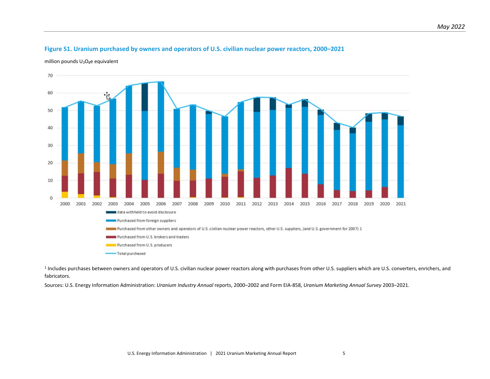# **Figure S1. Uranium purchased by owners and operators of U.S. civilian nuclear power reactors, 2000–2021**

million pounds  $U_3O_8e$  equivalent

<span id="page-12-0"></span>

<sup>1</sup> Includes purchases between owners and operators of U.S. civilian nuclear power reactors along with purchases from other U.S. suppliers which are U.S. converters, enrichers, and fabricators.

Sources: U.S. Energy Information Administration: *Uranium Industry Annual* reports, 2000–2002 and Form EIA-858, *Uranium Marketing Annual Survey* 2003–2021.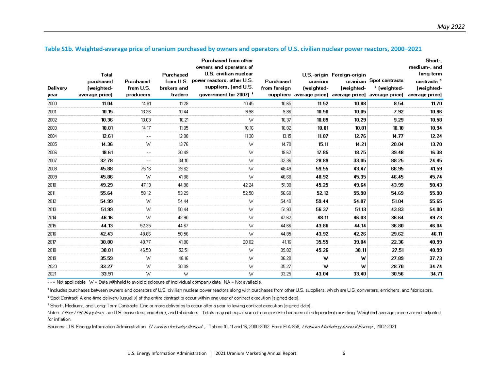<span id="page-13-0"></span>

| Delivery<br>year | Total<br>purchased<br>(weighted-<br>average price) | Purchased<br>from U.S.<br>producers | Purchased<br>from U.S.<br>brokers and<br>traders | Purchased from other<br>owners and operators of<br>U.S. civilian nuclear<br>power reactors, other U.S.<br>suppliers, (and U.S.<br>qovernment for 2007) 1 | Purchased<br>from foreign | uranium<br>(weighted- | U.S.-origin Foreign-origin<br>(weighted- | uranium Spot contracts<br><sup>2</sup> (weighted-<br>suppliers average price) average price) average price) average price) | Short-<br>medium-, and<br>long-term<br>contracts <sup>3</sup><br>(weighted- |
|------------------|----------------------------------------------------|-------------------------------------|--------------------------------------------------|----------------------------------------------------------------------------------------------------------------------------------------------------------|---------------------------|-----------------------|------------------------------------------|----------------------------------------------------------------------------------------------------------------------------|-----------------------------------------------------------------------------|
| 2000             | 11.04                                              | 14.81                               | 11.28                                            | 10.45                                                                                                                                                    | 10.65                     | 11.52                 | 10.88                                    | 8.54                                                                                                                       | 11.70                                                                       |
| 2001             | 10.15                                              | 13.26                               | 10.44                                            | 9.98                                                                                                                                                     | 9.86                      | 10.50                 | 10.05                                    | 7.92                                                                                                                       | 10.96                                                                       |
| 2002             | 10.36                                              | 13.03                               | 10.21                                            | W                                                                                                                                                        | 10.37                     | 10.89                 | 10.29                                    | 9.29                                                                                                                       | 10.58                                                                       |
| 2003             | 10.81                                              | 14.17                               | 11.05                                            | 10.16                                                                                                                                                    | 10.82                     | 10.81                 | 10.81                                    | 10.10                                                                                                                      | 10.94                                                                       |
| 2004             | 12.61                                              |                                     | 12.08                                            | 11.30                                                                                                                                                    | 13.15                     | 11.87                 | 12.76                                    | 14.77                                                                                                                      | 12.24                                                                       |
| 2005             | 14.36                                              | W                                   | 13.76                                            | W                                                                                                                                                        | 14.70                     | 15.11                 | 14.21                                    | 20.04                                                                                                                      | 13.70                                                                       |
| 2006             | 18.61                                              | $- -$                               | 20.49                                            | W                                                                                                                                                        | 18.62                     | 17.85                 | 18.75                                    | 39.48                                                                                                                      | 16.38                                                                       |
| 2007             | 32.78                                              |                                     | 34.10                                            | W                                                                                                                                                        | 32.36                     | 28.89                 | 33.05                                    | 88.25                                                                                                                      | 24.45                                                                       |
| 2008             | 45.88                                              | 75.16                               | 39.62                                            | W                                                                                                                                                        | 48.49                     | 59.55                 | 43.47                                    | 66.95                                                                                                                      | 41.59                                                                       |
| 2009             | 45.86                                              | w                                   | 41.88                                            | W                                                                                                                                                        | 46.68                     | 48.92                 | 45.35                                    | 46.45                                                                                                                      | 45.74                                                                       |
| 2010             | 49.29                                              | 47.13                               | 44.98                                            | 42.24                                                                                                                                                    | 51.30                     | 45.25                 | 49.64                                    | 43.99                                                                                                                      | 50.43                                                                       |
| 2011             | 55.64                                              | 58.12                               | 53.29                                            | 52.50                                                                                                                                                    | 56.60                     | 52.12                 | 55.98                                    | 54.69                                                                                                                      | 55.90                                                                       |
| 2012             | 54.99                                              | W                                   | 54.44                                            | W                                                                                                                                                        | 54.40                     | 59.44                 | 54.07                                    | 51.04                                                                                                                      | 55.65                                                                       |
| 2013             | 51.99                                              | W                                   | 50.44                                            | W                                                                                                                                                        | 51.93                     | 56.37                 | 51.13                                    | 43.83                                                                                                                      | 54.00                                                                       |
| 2014             | 46.16                                              | W                                   | 42.90                                            | W                                                                                                                                                        | 47.62                     | 48.11                 | 46.03                                    | 36.64                                                                                                                      | 49.73                                                                       |
| 2015             | 44.13                                              | 52.35                               | 44.67                                            | W                                                                                                                                                        | 44.66                     | 43.86                 | 44.14                                    | 36.80                                                                                                                      | 46.04                                                                       |
| 2016             | 42.43                                              | 48.86                               | 50.56                                            | W                                                                                                                                                        | 44.85                     | 43.92                 | 42.26                                    | 29.62                                                                                                                      | 46.11                                                                       |
| 2017             | 38.80                                              | 48.77                               | 41.80                                            | 20.02                                                                                                                                                    | 41.16                     | 35.55                 | 39.04                                    | 22.36                                                                                                                      | 40.99                                                                       |
| 2018             | 38.81                                              | 46.59                               | 52.51                                            | W                                                                                                                                                        | 39.82                     | 45.26                 | 38.11                                    | 27.51                                                                                                                      | 40.99                                                                       |
| 2019             | 35.59                                              | W                                   | 48.16                                            | W                                                                                                                                                        | 36.28                     | w                     | w                                        | 27.89                                                                                                                      | 37.73                                                                       |
| 2020             | 33.27                                              | W                                   | 30.09                                            | W                                                                                                                                                        | 35.27                     | w                     | w                                        | 28.70                                                                                                                      | 34.74                                                                       |
| 2021             | 33.91                                              | w                                   | W                                                | W                                                                                                                                                        | 33.25                     | 43.04                 | 33.40                                    | 30.56                                                                                                                      | 34.71                                                                       |

#### **Table S1b. Weighted-average price of uranium purchased by owners and operators of U.S. civilian nuclear power reactors, 2000–2021**

-- = Not applicable. W = Data withheld to avoid disclosure of individual company data. NA = Not available.

1 Includes purchases between owners and operators of U.S. civilian nuclear power reactors along with purchases from other U.S. suppliers, which are U.S. converters, enrichers, and fabricators.

<sup>2</sup> Spot Contract: A one-time delivery (usually) of the entire contract to occur within one year of contract execution (signed date).

<sup>3</sup> Short-, Medium-, and Long-Term Contracts: One or more deliveries to occur after a year following contract execution (signed date).

Notes: Cither LLS Suppliers are U.S. converters, enrichers, and fabricators. Totals may not equal sum of components because of independent rounding. Weighted-average prices are not adjusted for inflation.

Sources: U.S. Energy Information Administration: 2/ ranium Industry Annual , Tables 10, 11 and 16, 2000-2002. Form EIA-858, *Litanium Marketing Annual Survey ,* 2002-2021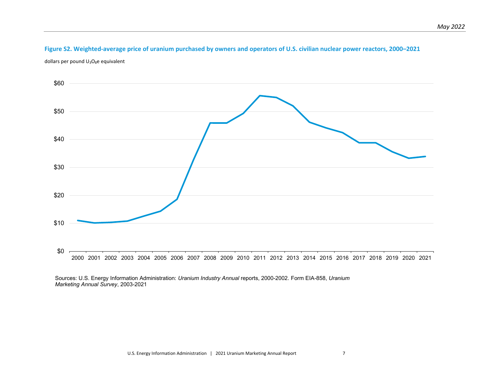# **Figure S2. Weighted-average price of uranium purchased by owners and operators of U.S. civilian nuclear power reactors, 2000–2021**

dollars per pound  $U_3O_8$ e equivalent

<span id="page-14-0"></span>

Sources: U.S. Energy Information Administration: *Uranium Industry Annual* reports, 2000-2002. Form EIA-858, *Uranium Marketing Annual Survey*, 2003-2021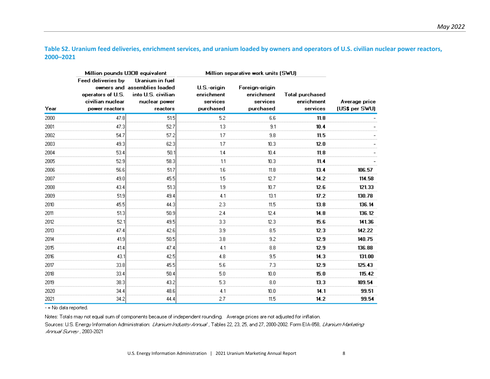**Table S2. Uranium feed deliveries, enrichment services, and uranium loaded by owners and operators of U.S. civilian nuclear power reactors, 2000–2021** 

<span id="page-15-0"></span>

|      |                                                                               | Million pounds U308 equivalent                                                                     | Million separative work units (SWU)                |                                                       |                                                  |                                 |
|------|-------------------------------------------------------------------------------|----------------------------------------------------------------------------------------------------|----------------------------------------------------|-------------------------------------------------------|--------------------------------------------------|---------------------------------|
| Year | Feed deliveries by<br>operators of U.S.<br>civilian nuclear<br>power reactors | Uranium in fuel<br>owners and assemblies loaded<br>into U.S. civilian<br>nuclear power<br>reactors | U.S.-origin<br>enrichment<br>services<br>purchased | Foreign-origin<br>enrichment<br>services<br>purchased | <b>Total purchased</b><br>enrichment<br>services | Average price<br>(US\$ per SWU) |
| 2000 | 47.8                                                                          | 51.5                                                                                               | 5.2                                                | 6.6                                                   | 11.8                                             |                                 |
| 2001 | 47.3                                                                          | 52.7                                                                                               | 1.3                                                | 9.1                                                   | 10.4                                             |                                 |
| 2002 | 54.7                                                                          | 57.2                                                                                               | 1.7                                                | 9.8                                                   | 11.5                                             |                                 |
| 2003 | 49.3                                                                          | 62.3                                                                                               | 1.7                                                | 10.3                                                  | 12.0                                             |                                 |
| 2004 | 53.4                                                                          | 50.1                                                                                               | 1.4                                                | 10.4                                                  | 11.8                                             |                                 |
| 2005 | 52.9                                                                          | 58.3                                                                                               | 1.1                                                | 10.3                                                  | 11.4                                             |                                 |
| 2006 | 56.6                                                                          | 51.7                                                                                               | 1.6                                                | 11.8                                                  | 13.4                                             | 106.57                          |
| 2007 | 49.0                                                                          | 45.5                                                                                               | 1.5                                                | 12.7                                                  | 14.2                                             | 114.58                          |
| 2008 | 43.4                                                                          | 51.3                                                                                               | 1.9                                                | 10.7                                                  | 12.6                                             | 121.33                          |
| 2009 | 51.9                                                                          | 49.4                                                                                               | 4.1                                                | 13.1                                                  | 17.2                                             | 130.78                          |
| 2010 | 45.5                                                                          | 44.3                                                                                               | 2.3                                                | 11.5                                                  | 13.8                                             | 136.14                          |
| 2011 | 51.3                                                                          | 50.9                                                                                               | 2.4                                                | 12.4                                                  | 14.8                                             | 136.12                          |
| 2012 | 52.1                                                                          | 49.5                                                                                               | 3.3                                                | 12.3                                                  | 15.6                                             | 141.36                          |
| 2013 | 47.4                                                                          | 42.6                                                                                               | 3.9                                                | 8.5                                                   | 12.3                                             | 142.22                          |
| 2014 | 41.9                                                                          | 50.5                                                                                               | 3.8                                                | 9.2                                                   | 12.9                                             | 140.75                          |
| 2015 | 41.4                                                                          | 47.4                                                                                               | 4.1                                                | 8.8                                                   | 12.9                                             | 136.88                          |
| 2016 | 43.1                                                                          | 42.5                                                                                               | 4.8                                                | 9.5                                                   | 14.3                                             | 131.00                          |
| 2017 | 33.8                                                                          | 45.5                                                                                               | 5.6                                                | 7.3                                                   | 12.9                                             | 125.43                          |
| 2018 | 33.4                                                                          | 50.4                                                                                               | 5.0                                                | 10.0                                                  | 15.0                                             | 115.42                          |
| 2019 | 38.3                                                                          | 43.2                                                                                               | 5.3                                                | 8.0                                                   | 13.3                                             | 109.54                          |
| 2020 | 34.4                                                                          | 48.6                                                                                               | 4.1                                                | 10.0                                                  | 14.1                                             | 99.51                           |
| 2021 | 34.2                                                                          | 44.4                                                                                               | 2.7                                                | 11.5                                                  | 14.2                                             | 99.54                           |

- = No data reported.

Notes: Totals may not equal sum of components because of independent rounding. Average prices are not adjusted for inflation.

Sources: U.S. Energy Information Administration: Lhanium Industry Annual , Tables 22, 23, 25, and 27, 2000-2002. Form EIA-858, Lhanium Marketing Annual Survey , 2003-2021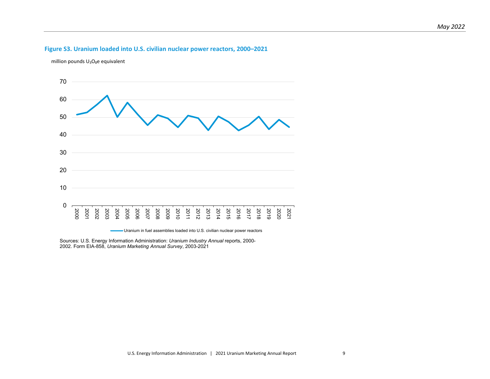#### **Figure S3. Uranium loaded into U.S. civilian nuclear power reactors, 2000–2021**

million pounds  $U_3O_8e$  equivalent

<span id="page-16-0"></span>

Uranium in fuel assemblies loaded into U.S. civilian nuclear power reactors

Sources: U.S. Energy Information Administration: *Uranium Industry Annual* reports, 2000- 2002. Form EIA-858, *Uranium Marketing Annual Survey*, 2003-2021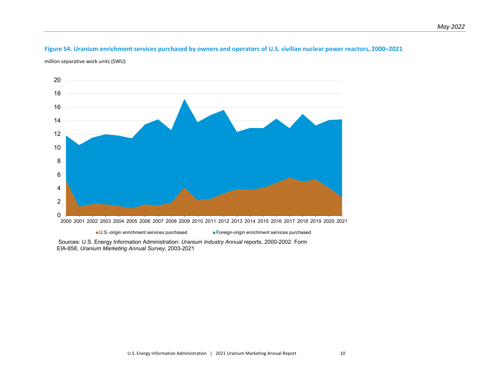# **Figure S4. Uranium enrichment services purchased by owners and operators of U.S. civilian nuclear power reactors, 2000–2021**

million separative work units (SWU)



<span id="page-17-0"></span>2001 2002 2003 2004 2005 2006 2007 2008 2009 2010 2011 2012 2013 2014 2015 2016 2017 2018 2019 2020 2021

■U.S.-origin enrichment services purchased ■Foreign-origin enrichment services purchased

Sources: U.S. Energy Information Administration: *Uranium Industry Annual* reports, 2000-2002. Form EIA-858, *Uranium Marketing Annual Survey*, 2003-2021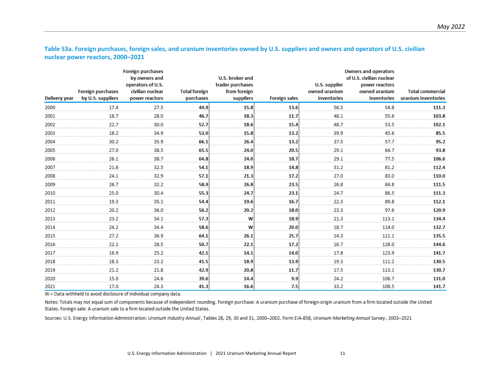**Table S3a. Foreign purchases, foreign sales, and uranium inventories owned by U.S. suppliers and owners and operators of U.S. civilian nuclear power reactors, 2000–2021** 

<span id="page-18-0"></span>

|               |                                               | <b>Foreign purchases</b><br>by owners and               |                                   | U.S. broker and                               |                      |                                               | <b>Owners and operators</b><br>of U.S. civilian nuclear |                                                |
|---------------|-----------------------------------------------|---------------------------------------------------------|-----------------------------------|-----------------------------------------------|----------------------|-----------------------------------------------|---------------------------------------------------------|------------------------------------------------|
| Delivery year | <b>Foreign purchases</b><br>by U.S. suppliers | operators of U.S.<br>civilian nuclear<br>power reactors | <b>Total foreign</b><br>purchases | trader purchases<br>from foreign<br>suppliers | <b>Foreign sales</b> | U.S. supplier<br>owned uranium<br>inventories | power reactors<br>owned uranium<br>inventories          | <b>Total commercial</b><br>uranium inventories |
| 2000          | 17.4                                          | 27.5                                                    | 44.9                              | 15.8                                          | 13.6                 | 56.5                                          | 54.8                                                    | 111.3                                          |
| 2001          | 18.7                                          | 28.0                                                    | 46.7                              | 18.3                                          | 11.7                 | 48.1                                          | 55.6                                                    | 103.8                                          |
| 2002          | 22.7                                          | 30.0                                                    | 52.7                              | 18.6                                          | 15.4                 | 48.7                                          | 53.5                                                    | 102.1                                          |
| 2003          | 18.2                                          | 34.9                                                    | 53.0                              | 15.8                                          | 13.2                 | 39.9                                          | 45.6                                                    | 85.5                                           |
| 2004          | 30.2                                          | 35.9                                                    | 66.1                              | 26.4                                          | 13.2                 | 37.5                                          | 57.7                                                    | 95.2                                           |
| 2005          | 27.0                                          | 38.5                                                    | 65.5                              | 24.0                                          | 20.5                 | 29.1                                          | 64.7                                                    | 93.8                                           |
| 2006          | 26.1                                          | 38.7                                                    | 64.8                              | 24.0                                          | 18.7                 | 29.1                                          | 77.5                                                    | 106.6                                          |
| 2007          | 21.6                                          | 32.5                                                    | 54.1                              | 18.9                                          | 14.8                 | 31.2                                          | 81.2                                                    | 112.4                                          |
| 2008          | 24.1                                          | 32.9                                                    | 57.1                              | 21.3                                          | 17.2                 | 27.0                                          | 83.0                                                    | 110.0                                          |
| 2009          | 26.7                                          | 32.2                                                    | 58.9                              | 26.8                                          | 23.5                 | 26.8                                          | 84.8                                                    | 111.5                                          |
| 2010          | 25.0                                          | 30.4                                                    | 55.3                              | 24.7                                          | 23.1                 | 24.7                                          | 86.5                                                    | 111.3                                          |
| 2011          | 19.3                                          | 35.1                                                    | 54.4                              | 19.6                                          | 16.7                 | 22.3                                          | 89.8                                                    | 112.1                                          |
| 2012          | 20.2                                          | 36.0                                                    | 56.2                              | 20.2                                          | 18.0                 | 23.3                                          | 97.6                                                    | 120.9                                          |
| 2013          | 23.2                                          | 34.1                                                    | 57.3                              | W                                             | 18.9                 | 21.3                                          | 113.1                                                   | 134.4                                          |
| 2014          | 24.2                                          | 34.4                                                    | 58.6                              | W                                             | 20.0                 | 18.7                                          | 114.0                                                   | 132.7                                          |
| 2015          | 27.2                                          | 36.9                                                    | 64.1                              | 26.1                                          | 25.7                 | 14.3                                          | 121.1                                                   | 135.5                                          |
| 2016          | 22.1                                          | 28.5                                                    | 50.7                              | 22.1                                          | 17.2                 | 16.7                                          | 128.0                                                   | 144.6                                          |
| 2017          | 16.9                                          | 25.2                                                    | 42.1                              | 14.1                                          | 14.0                 | 17.8                                          | 123.9                                                   | 141.7                                          |
| 2018          | 18.3                                          | 23.2                                                    | 41.5                              | 18.9                                          | 13.9                 | 19.3                                          | 111.2                                                   | 130.5                                          |
| 2019          | 21.2                                          | 21.8                                                    | 42.9                              | 20.8                                          | 11.7                 | 17.5                                          | 113.1                                                   | 130.7                                          |
| 2020          | 15.0                                          | 24.6                                                    | 39.6                              | 14.4                                          | 9.9                  | 24.2                                          | 106.7                                                   | 131.0                                          |
| 2021          | 17.0                                          | 24.3                                                    | 41.3                              | 16.6                                          | 7.5                  | 33.2                                          | 108.5                                                   | 141.7                                          |

 $W =$  Data withheld to avoid disclosure of individual company data.

Notes: Totals may not equal sum of components because of independent rounding. Foreign purchase: A uranium purchase of foreign-origin uranium from a firm located outside the United States. Foreign sale: A uranium sale to a firm located outside the United States.

Sources: U.S. Energy Information Administration: Uranium Industry Annual, Tables 28, 29, 30 and 31, 2000-2002. Form EIA-858, Uranium Marketing Annual Survey, 2003-2021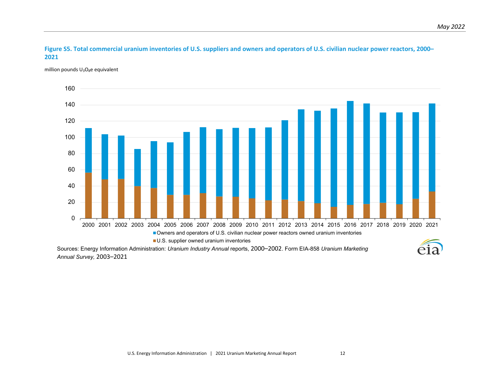

million pounds  $U_3O_8e$  equivalent

<span id="page-19-0"></span>

Sources: Energy Information Administration: *Uranium Industry Annual* reports, 2000–2002. Form EIA-858 *Uranium Marketing Annual Survey,* 2003–2021

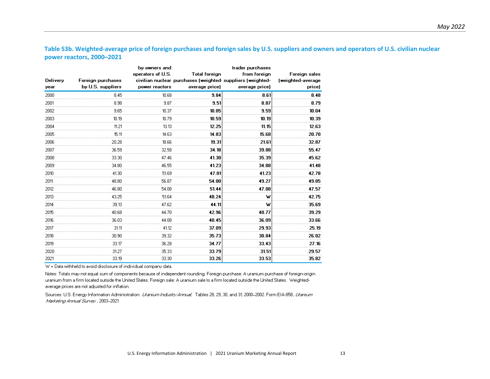**Table S3b. Weighted-average price of foreign purchases and foreign sales by U.S. suppliers and owners and operators of U.S. civilian nuclear power reactors, 2000–2021** 

<span id="page-20-0"></span>

|          |                   | by owners and     |                                                           | trader purchases |                   |
|----------|-------------------|-------------------|-----------------------------------------------------------|------------------|-------------------|
|          |                   | operators of U.S. | <b>Total foreign</b>                                      | from foreign     | Foreign sales     |
| Delivery | Foreign purchases |                   | civilian nuclear purchases (weighted-suppliers (weighted- |                  | (weighted-average |
| year     | by U.S. suppliers | power reactors    | average price)                                            | average price)   | price)            |
| 2000     | 8.45              | 10.68             | 9.84                                                      | 8.61             | 8.48              |
| 2001     | 8.98              | 9.87              | 9.51                                                      | 8.87             | 8.79              |
| 2002     | 9.65              | 10.37             | 10.05                                                     | 9.59             | 10.04             |
| 2003     | 10.19             | 10.79             | 10.59                                                     | 10.19            | 10.39             |
| 2004     | 11.21             | 13.13             | 12.25                                                     | 11.15            | 12.63             |
| 2005     | 15.11             | 14.63             | 14.83                                                     | 15.68            | 20.70             |
| 2006     | 20.28             | 18.66             | 19.31                                                     | 21.61            | 32.87             |
| 2007     | 36.59             | 32.58             | 34.18                                                     | 39.88            | 55.47             |
| 2008     | 33.30             | 47.46             | 41.30                                                     | 35.39            | 45.62             |
| 2009     | 34.80             | 46.55             | 41.23                                                     | 34.88            | 41.48             |
| 2010     | 41.30             | 51.69             | 47.01                                                     | 41.23            | 42.78             |
| 2011     | 48.80             | 56.87             | 54.00                                                     | 49.27            | 49.05             |
| 2012     | 46.80             | 54.08             | 51.44                                                     | 47.08            | 47.57             |
| 2013     | 43.25             | 51.64             | 48.24                                                     | w                | 42.75             |
| 2014     | 39.13             | 47.62             | 44.11                                                     | w                | 35.69             |
| 2015     | 40.68             | 44.70             | 42.96                                                     | 40.77            | 39.29             |
| 2016     | 36.03             | 44.08             | 40.45                                                     | 36.09            | 33.66             |
| 2017     | 31.11             | 41.12             | 37.09                                                     | 29.93            | 25.19             |
| 2018     | 30.90             | 39.32             | 35.73                                                     | 30.84            | 26.02             |
| 2019     | 33.17             | 36.28             | 34.77                                                     | 33.43            | 27.16             |
| 2020     | 31.27             | 35.33             | 33.79                                                     | 31.51            | 29.57             |
| 2021     | 33.19             | 33.30             | 33.26                                                     | 33.53            | 35.82             |

W = Data withheld to avoid disclosure of individual company data.

Notes: Totals may not equal sum of components because of independent rounding. Foreign purchase: A uranium purchase of foreign-origin uranium from a firm located outside the United States. Foreign sale: A uranium sale to a firm located outside the United States. Weightedaverage prices are not adjusted for inflation.

Sources: U.S. Energy Information Administration: Libanium Industry Annual, Tables 28, 29, 30, and 31, 2000-2002. Form EIA-858, Libanium Marketing Annual Survey , 2003-2021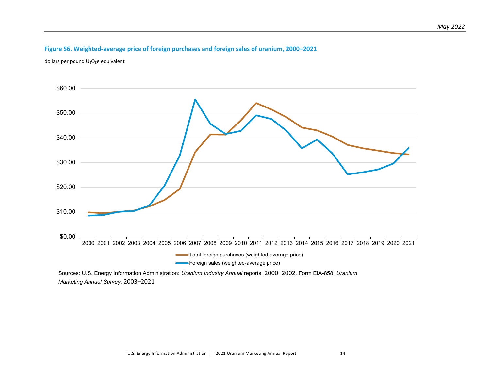# **Figure S6. Weighted-average price of foreign purchases and foreign sales of uranium, 2000–2021**

dollars per pound  $U_3O_8$ e equivalent

<span id="page-21-0"></span>

Sources: U.S. Energy Information Administration: *Uranium Industry Annual* reports, 2000–2002. Form EIA-858, *Uranium Marketing Annual Survey,* 2003–2021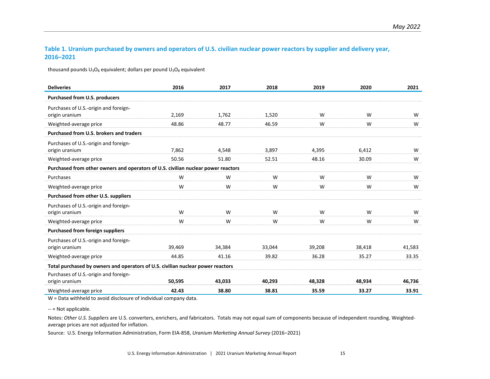#### **Table 1. Uranium purchased by owners and operators of U.S. civilian nuclear power reactors by supplier and delivery year, 2016–2021**

thousand pounds  $U_3O_8$  equivalent; dollars per pound  $U_3O_8$  equivalent

<span id="page-22-0"></span>

| <b>Deliveries</b>                                                                 | 2016   | 2017   | 2018   | 2019   | 2020   | 2021   |  |  |  |
|-----------------------------------------------------------------------------------|--------|--------|--------|--------|--------|--------|--|--|--|
| <b>Purchased from U.S. producers</b>                                              |        |        |        |        |        |        |  |  |  |
| Purchases of U.S.-origin and foreign-<br>origin uranium                           | 2,169  | 1,762  | 1,520  | W      | W      | W      |  |  |  |
| Weighted-average price                                                            | 48.86  | 48.77  | 46.59  | W      | W      | W      |  |  |  |
| Purchased from U.S. brokers and traders                                           |        |        |        |        |        |        |  |  |  |
| Purchases of U.S.-origin and foreign-<br>origin uranium                           | 7,862  | 4,548  | 3,897  | 4,395  | 6,412  | W      |  |  |  |
| Weighted-average price                                                            | 50.56  | 51.80  | 52.51  | 48.16  | 30.09  | W      |  |  |  |
| Purchased from other owners and operators of U.S. civilian nuclear power reactors |        |        |        |        |        |        |  |  |  |
| Purchases                                                                         | W      | W      | W      | W      | W      | W      |  |  |  |
| Weighted-average price                                                            | W      | W      | W      | W      | W      | W      |  |  |  |
| Purchased from other U.S. suppliers                                               |        |        |        |        |        |        |  |  |  |
| Purchases of U.S.-origin and foreign-<br>origin uranium                           | W      | W      | W      | W      | W      | W      |  |  |  |
| Weighted-average price                                                            | W      | W      | W      | W      | W      | W      |  |  |  |
| <b>Purchased from foreign suppliers</b>                                           |        |        |        |        |        |        |  |  |  |
| Purchases of U.S.-origin and foreign-<br>origin uranium                           | 39,469 | 34,384 | 33,044 | 39,208 | 38,418 | 41,583 |  |  |  |
| Weighted-average price                                                            | 44.85  | 41.16  | 39.82  | 36.28  | 35.27  | 33.35  |  |  |  |
| Total purchased by owners and operators of U.S. civilian nuclear power reactors   |        |        |        |        |        |        |  |  |  |
| Purchases of U.S.-origin and foreign-<br>origin uranium                           | 50,595 | 43.033 | 40,293 | 48,328 | 48,934 | 46,736 |  |  |  |
| Weighted-average price                                                            | 42.43  | 38.80  | 38.81  | 35.59  | 33.27  | 33.91  |  |  |  |

W = Data withheld to avoid disclosure of individual company data.

-- = Not applicable.

Notes: *Other U.S. Suppliers* are U.S. converters, enrichers, and fabricators. Totals may not equal sum of components because of independent rounding. Weightedaverage prices are not adjusted for inflation.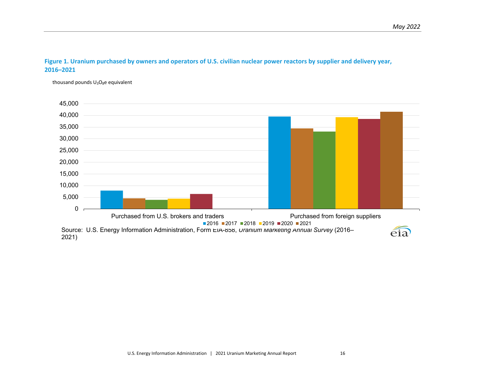#### **Figure 1. Uranium purchased by owners and operators of U.S. civilian nuclear power reactors by supplier and delivery year, 2016–2021**

thousand pounds  $U_3O_8e$  equivalent

<span id="page-23-0"></span>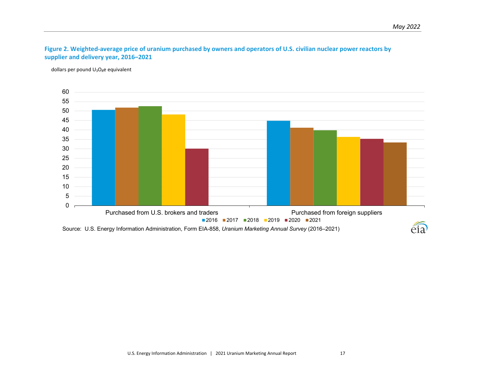# **Figure 2. Weighted-average price of uranium purchased by owners and operators of U.S. civilian nuclear power reactors by supplier and delivery year, 2016–2021**

dollars per pound  $U_3O_8$ e equivalent

<span id="page-24-0"></span>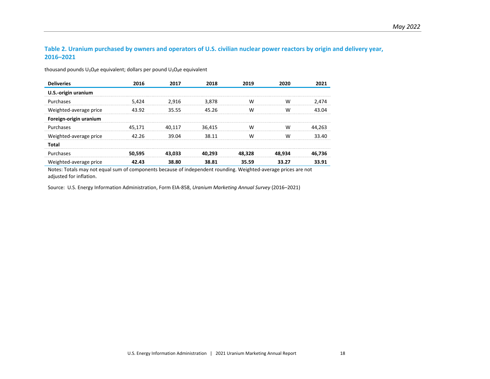#### **Table 2. Uranium purchased by owners and operators of U.S. civilian nuclear power reactors by origin and delivery year, 2016–2021**

| <b>Deliveries</b>      | 2016   | 2017   | 2018   | 2019   | 2020   | 2021   |
|------------------------|--------|--------|--------|--------|--------|--------|
| U.S.-origin uranium    |        |        |        |        |        |        |
| Purchases              | 5.424  | 2.916  | 3.878  | W      | w      | 2.474  |
| Weighted-average price | 43.92  | 35.55  | 45.26  | W      | W      | 43.04  |
| Foreign-origin uranium |        |        |        |        |        |        |
| Purchases              | 45.171 | 40.117 | 36,415 | W      | w      | 44.263 |
| Weighted-average price | 42.26  | 39.04  | 38 11  | W      | w      | 33.40  |
| Total                  |        |        |        |        |        |        |
| Purchases              | 50.595 | 43.033 | 40.293 | 48.328 | 48,934 | 46.736 |
| Weighted-average price | 42.43  | 38.80  | 38.81  | 35.59  | 33.27  | 33.91  |

thousand pounds  $U_3O_8e$  equivalent; dollars per pound  $U_3O_8e$  equivalent

<span id="page-25-0"></span>Notes: Totals may not equal sum of components because of independent rounding. Weighted-average prices are not adjusted for inflation.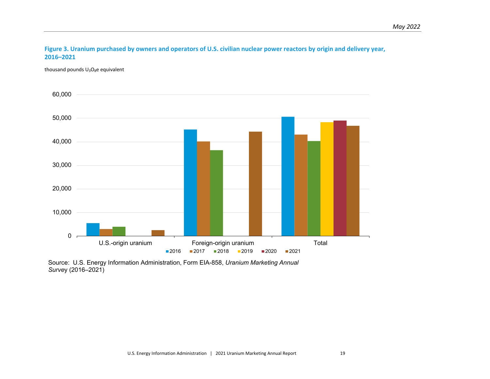**Figure 3. Uranium purchased by owners and operators of U.S. civilian nuclear power reactors by origin and delivery year, 2016–2021**

thousand pounds  $U_3O_8e$  equivalent

<span id="page-26-0"></span>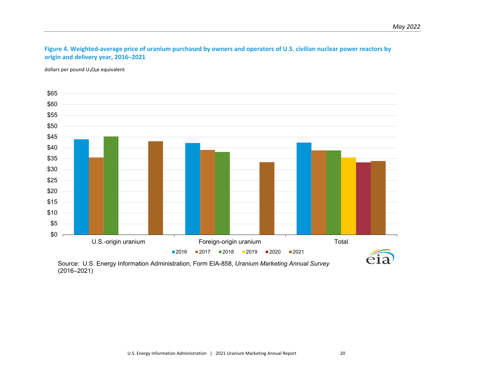# **Figure 4. Weighted-average price of uranium purchased by owners and operators of U.S. civilian nuclear power reactors by origin and delivery year, 2016–2021**

dollars per pound  $U_3O_8e$  equivalent

<span id="page-27-0"></span>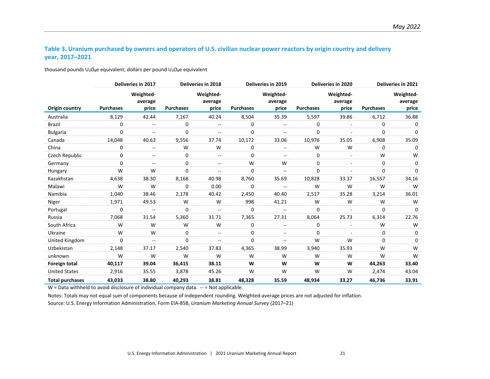## **Table 3. Uranium purchased by owners and operators of U.S. civilian nuclear power reactors by origin country and delivery year, 2017–2021**

thousand pounds  $U_3O_8e$  equivalent; dollars per pound  $U_3O_8e$  equivalent

<span id="page-28-0"></span>

|                        |                  | Deliveries in 2017            |                  | Deliveries in 2018            |                  | Deliveries in 2019            |                  | Deliveries in 2020            |                  | Deliveries in 2021            |
|------------------------|------------------|-------------------------------|------------------|-------------------------------|------------------|-------------------------------|------------------|-------------------------------|------------------|-------------------------------|
| Origin country         | <b>Purchases</b> | Weighted-<br>average<br>price | <b>Purchases</b> | Weighted-<br>average<br>price | <b>Purchases</b> | Weighted-<br>average<br>price | <b>Purchases</b> | Weighted-<br>average<br>price | <b>Purchases</b> | Weighted-<br>average<br>price |
| Australia              | 8,129            | 42.44                         | 7,167            | 40.24                         | 8,504            | 35.39                         | 5,597            | 39.86                         | 6,712            | 36.88                         |
| <b>Brazil</b>          | 0                | --                            | 0                | --                            | 0                | $\overline{\phantom{a}}$      | 0                | $\overline{\phantom{a}}$      | 0                | 0                             |
| <b>Bulgaria</b>        | 0                | --                            | 0                | --                            | 0                | $\overline{\phantom{a}}$      | 0                |                               | $\Omega$         | $\Omega$                      |
| Canada                 | 14,048           | 40.63                         | 9,556            | 37.74                         | 10,172           | 33.06                         | 10,976           | 35.05                         | 6,908            | 35.09                         |
| China                  | 0                | $\overline{\phantom{a}}$      | W                | W                             | 0                | $\overline{\phantom{a}}$      | W                | W                             | 0                | 0                             |
| Czech Republic         | 0                | $- -$                         | 0                | $- -$                         | 0                | $\overline{\phantom{a}}$      | 0                |                               | W                | W                             |
| Germany                | $\Omega$         | $\overline{\phantom{a}}$      | 0                | $\overline{\phantom{a}}$      | W                | W                             | 0                | ٠                             | 0                | 0                             |
| Hungary                | W                | W                             | 0                | $- -$                         | 0                | $-$                           | 0                |                               | 0                | $\Omega$                      |
| Kazakhstan             | 4,638            | 38.30                         | 8,168            | 40.98                         | 8,760            | 35.69                         | 10,828           | 33.37                         | 16,557           | 34.16                         |
| Malawi                 | W                | W                             | 0                | 0.00                          | 0                | $-$                           | W                | W                             | W                | W                             |
| Namibia                | 1,040            | 38.46                         | 2,178            | 40.42                         | 2,450            | 40.40                         | 2,517            | 35.28                         | 3,214            | 36.01                         |
| Niger                  | 1,971            | 49.53                         | W                | W                             | 998              | 41.21                         | W                | W                             | W                | W                             |
| Portugal               | 0                | $\overline{\phantom{a}}$      | 0                | $\overline{\phantom{a}}$      | 0                | $\mathbf{u}$                  | 0                |                               | 0                | 0                             |
| Russia                 | 7,068            | 31.54                         | 5,360            | 31.71                         | 7,365            | 27.31                         | 8,064            | 25.73                         | 6,314            | 22.76                         |
| South Africa           | W                | W                             | W                | W                             | 0                | $\overline{\phantom{a}}$      | 0                |                               | W                | W                             |
| Ukraine                | W                | W                             | 0                | $-$                           | 0                | $\overline{\phantom{a}}$      | 0                |                               | 0                | 0                             |
| United Kingdom         | $\Omega$         | $\mathbf{u}$                  | 0                | --                            | $\Omega$         | $\overline{\phantom{a}}$      | W                | W                             | $\Omega$         | $\Omega$                      |
| Uzbekistan             | 2,148            | 37.17                         | 2,540            | 37.83                         | 4,365            | 38.99                         | 3,940            | 35.93                         | W                | W                             |
| unknown                | W                | W                             | W                | W                             | W                | W                             | W                | W                             | W                | W                             |
| Foreign total          | 40,117           | 39.04                         | 36,415           | 38.11                         | W                | W                             | W                | W                             | 44,263           | 33.40                         |
| <b>United States</b>   | 2,916            | 35.55                         | 3,878            | 45.26                         | W                | W                             | W                | W                             | 2,474            | 43.04                         |
| <b>Total purchases</b> | 43,033           | 38.80                         | 40,293           | 38.81                         | 48,328           | 35.59                         | 48,934           | 33.27                         | 46,736           | 33.91                         |

 $W =$  Data withheld to avoid disclosure of individual company data.  $-$  = Not applicable.

Notes: Totals may not equal sum of components because of independent rounding. Weighted-average prices are not adjusted for inflation.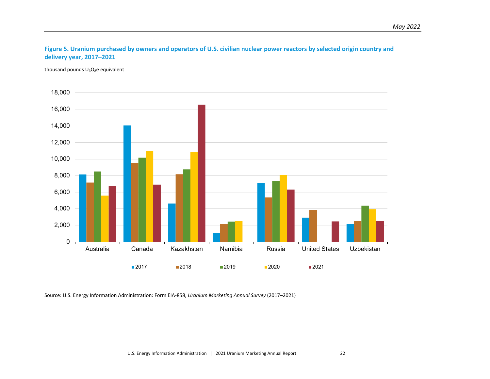# **Figure 5. Uranium purchased by owners and operators of U.S. civilian nuclear power reactors by selected origin country and delivery year, 2017–2021**

thousand pounds  $U_3O_8e$  equivalent

<span id="page-29-0"></span>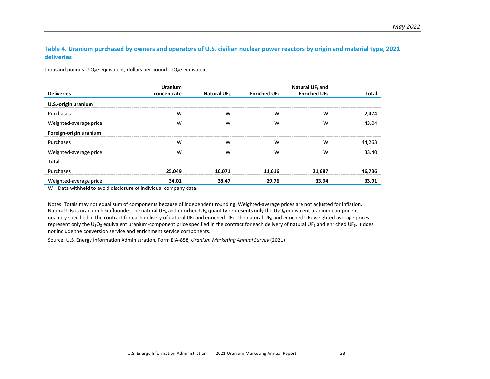#### **Table 4. Uranium purchased by owners and operators of U.S. civilian nuclear power reactors by origin and material type, 2021 deliveries**

thousand pounds  $U_3O_8e$  equivalent; dollars per pound  $U_3O_8e$  equivalent

|                        | <b>Uranium</b> |                         |                 | Natural UF <sub>6</sub> and |        |
|------------------------|----------------|-------------------------|-----------------|-----------------------------|--------|
| <b>Deliveries</b>      | concentrate    | Natural UF <sub>6</sub> | Enriched UF $6$ | Enriched UF <sub>6</sub>    | Total  |
| U.S.-origin uranium    |                |                         |                 |                             |        |
| Purchases              | W              | W                       | W               | W                           | 2,474  |
| Weighted-average price | W              | W                       | W               | W                           | 43.04  |
| Foreign-origin uranium |                |                         |                 |                             |        |
| Purchases              | W              | W                       | W               | W                           | 44,263 |
| Weighted-average price | W              | W                       | W               | W                           | 33.40  |
| Total                  |                |                         |                 |                             |        |
| Purchases              | 25,049         | 10.071                  | 11,616          | 21,687                      | 46,736 |
| Weighted-average price | 34.01          | 38.47                   | 29.76           | 33.94                       | 33.91  |

<span id="page-30-0"></span>W = Data withheld to avoid disclosure of individual company data.

Notes: Totals may not equal sum of components because of independent rounding. Weighted-average prices are not adjusted for inflation. Natural UF<sub>6</sub> is uranium hexafluoride. The natural UF<sub>6</sub> and enriched UF<sub>6</sub> quantity represents only the U<sub>3</sub>O<sub>8</sub> equivalent uranium-component quantity specified in the contract for each delivery of natural UF<sub>6</sub> and enriched UF<sub>6</sub>. The natural UF<sub>6</sub> and enriched UF<sub>6</sub> weighted-average prices represent only the U<sub>3</sub>O<sub>8</sub> equivalent uranium-component price specified in the contract for each delivery of natural UF<sub>6</sub> and enriched UF<sub>6</sub>, it does not include the conversion service and enrichment service components.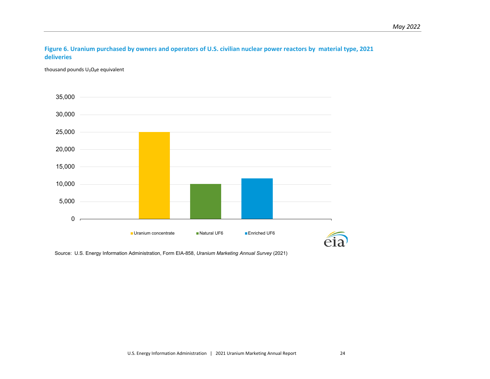#### **Figure 6. Uranium purchased by owners and operators of U.S. civilian nuclear power reactors by material type, 2021 deliveries**

thousand pounds  $U_3O_8e$  equivalent

<span id="page-31-0"></span>![](_page_31_Figure_3.jpeg)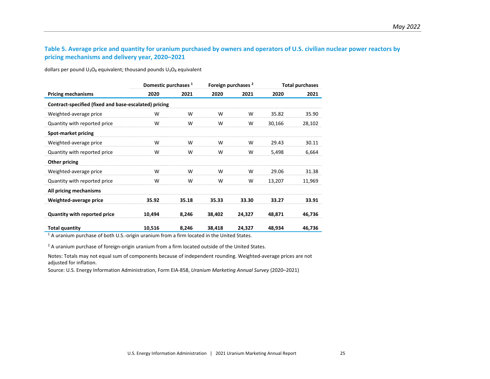# **Table 5. Average price and quantity for uranium purchased by owners and operators of U.S. civilian nuclear power reactors by pricing mechanisms and delivery year, 2020–2021**

dollars per pound  $U_3O_8$  equivalent; thousand pounds  $U_3O_8$  equivalent

<span id="page-32-0"></span>

|                                                       | Domestic purchases 1 |       |        | Foreign purchases <sup>2</sup> | <b>Total purchases</b> |        |  |  |  |
|-------------------------------------------------------|----------------------|-------|--------|--------------------------------|------------------------|--------|--|--|--|
| <b>Pricing mechanisms</b>                             | 2020                 | 2021  | 2020   | 2021                           | 2020                   | 2021   |  |  |  |
| Contract-specified (fixed and base-escalated) pricing |                      |       |        |                                |                        |        |  |  |  |
| Weighted-average price                                | W                    | W     | W      | W                              | 35.82                  | 35.90  |  |  |  |
| Quantity with reported price                          | W                    | W     | W      | W                              | 30,166                 | 28,102 |  |  |  |
| <b>Spot-market pricing</b>                            |                      |       |        |                                |                        |        |  |  |  |
| Weighted-average price                                | W                    | W     | W      | W                              | 29.43                  | 30.11  |  |  |  |
| Quantity with reported price                          | W                    | W     | W      | W                              | 5,498                  | 6,664  |  |  |  |
| Other pricing                                         |                      |       |        |                                |                        |        |  |  |  |
| Weighted-average price                                | W                    | W     | W      | W                              | 29.06                  | 31.38  |  |  |  |
| Quantity with reported price                          | W                    | W     | W      | W                              | 13,207                 | 11,969 |  |  |  |
| All pricing mechanisms                                |                      |       |        |                                |                        |        |  |  |  |
| Weighted-average price                                | 35.92                | 35.18 | 35.33  | 33.30                          | 33.27                  | 33.91  |  |  |  |
| <b>Quantity with reported price</b>                   | 10,494               | 8,246 | 38,402 | 24,327                         | 48,871                 | 46,736 |  |  |  |
| <b>Total quantity</b>                                 | 10,516               | 8,246 | 38,418 | 24,327                         | 48,934                 | 46,736 |  |  |  |

<sup>1</sup> A uranium purchase of both U.S.-origin uranium from a firm located in the United States.

<sup>2</sup> A uranium purchase of foreign-origin uranium from a firm located outside of the United States.

Notes: Totals may not equal sum of components because of independent rounding. Weighted-average prices are not adjusted for inflation.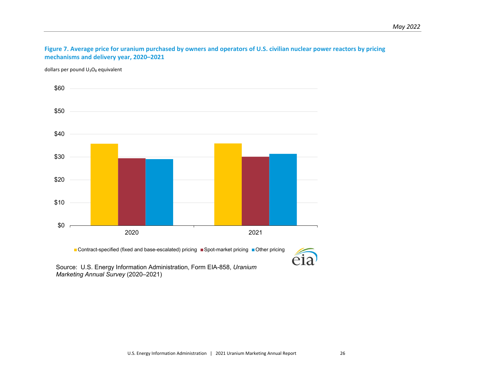**Figure 7. Average price for uranium purchased by owners and operators of U.S. civilian nuclear power reactors by pricing mechanisms and delivery year, 2020–2021**

dollars per pound  $U_3O_8$  equivalent

<span id="page-33-0"></span>![](_page_33_Figure_3.jpeg)

■ Contract-specified (fixed and base-escalated) pricing ■ Spot-market pricing ■ Other pricing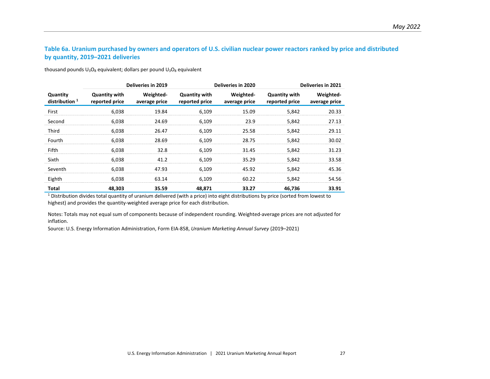# **Table 6a. Uranium purchased by owners and operators of U.S. civilian nuclear power reactors ranked by price and distributed by quantity, 2019–2021 deliveries**

thousand pounds  $U_3O_8$  equivalent; dollars per pound  $U_3O_8$  equivalent

|                              |                                        | <b>Deliveries in 2019</b>  |                                        | <b>Deliveries in 2020</b>  | Deliveries in 2021                     |                            |  |
|------------------------------|----------------------------------------|----------------------------|----------------------------------------|----------------------------|----------------------------------------|----------------------------|--|
| Quantity<br>distribution $1$ | <b>Quantity with</b><br>reported price | Weighted-<br>average price | <b>Quantity with</b><br>reported price | Weighted-<br>average price | <b>Quantity with</b><br>reported price | Weighted-<br>average price |  |
| First                        | 6,038                                  | 19.84                      | 6,109                                  | 15.09                      | 5,842                                  | 20.33                      |  |
| Second                       | 6,038                                  | 24.69                      | 6,109                                  | 23.9                       | 5,842                                  | 27.13                      |  |
| Third                        | 6,038                                  | 26.47                      | 6,109                                  | 25.58                      | 5,842                                  | 29.11                      |  |
| Fourth                       | 6,038                                  | 28.69                      | 6,109                                  | 28.75                      | 5,842                                  | 30.02                      |  |
| Fifth                        | 6.038                                  | 32.8                       | 6,109                                  | 31.45                      | 5,842                                  | 31.23                      |  |
| Sixth                        | 6,038                                  | 41.2                       | 6,109                                  | 35.29                      | 5,842                                  | 33.58                      |  |
| Seventh                      | 6.038                                  | 47.93                      | 6.109                                  | 45.92                      | 5,842                                  | 45.36                      |  |
| Eighth                       | 6,038                                  | 63.14                      | 6,109                                  | 60.22                      | 5,842                                  | 54.56                      |  |
| Total                        | 48.303                                 | 35.59                      | 48.871                                 | 33.27                      | 46.736                                 | 33.91                      |  |

<span id="page-34-0"></span><sup>1</sup> Distribution divides total quantity of uranium delivered (with a price) into eight distributions by price (sorted from lowest to highest) and provides the quantity-weighted average price for each distribution.

Notes: Totals may not equal sum of components because of independent rounding. Weighted-average prices are not adjusted for inflation.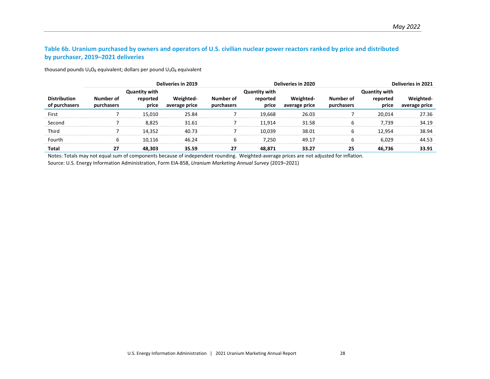# **Table 6b. Uranium purchased by owners and operators of U.S. civilian nuclear power reactors ranked by price and distributed by purchaser, 2019–2021 deliveries**

thousand pounds  $U_3O_8$  equivalent; dollars per pound  $U_3O_8$  equivalent

|                     |            |                                  | Deliveries in 2019 | <b>Deliveries in 2020</b> |                                  |               |            |                                  | Deliveries in 2021 |  |
|---------------------|------------|----------------------------------|--------------------|---------------------------|----------------------------------|---------------|------------|----------------------------------|--------------------|--|
| <b>Distribution</b> | Number of  | <b>Quantity with</b><br>reported | Weighted-          | Number of                 | <b>Quantity with</b><br>reported | Weighted-     | Number of  | <b>Quantity with</b><br>reported | Weighted-          |  |
| of purchasers       | purchasers | price                            | average price      | purchasers                | price                            | average price | purchasers | price                            | average price      |  |
| First               |            | 15.010                           | 25.84              |                           | 19.668                           | 26.03         |            | 20.014                           | 27.36              |  |
| Second              |            | 8.825                            | 31.61              |                           | 11.914                           | 31.58         |            | 7.739                            | 34.19              |  |
| Third               |            | 14.352                           | 40.73              |                           | 10.039                           | 38.01         |            | 12.954                           | 38.94              |  |
| Fourth              |            | 10.116                           | 46.24              |                           | 7.250                            | 49.17         |            | 6.029                            | 44.53              |  |
| Total               | 27         | 48,303                           | 35.59              | 27                        | 48,871                           | 33.27         | 25         | 46,736                           | 33.91              |  |

<span id="page-35-0"></span>Notes: Totals may not equal sum of components because of independent rounding. Weighted-average prices are not adjusted for inflation.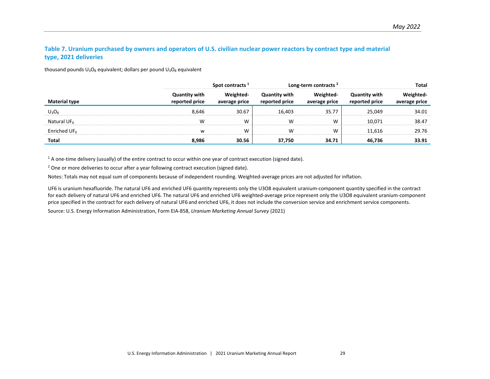# **Table 7. Uranium purchased by owners and operators of U.S. civilian nuclear power reactors by contract type and material type, 2021 deliveries**

thousand pounds  $U_3O_8$  equivalent; dollars per pound  $U_3O_8$  equivalent

|                          | Spot contracts 1                       |                            |                                        | Long-term contracts <sup>2</sup> | Total                                  |               |  |
|--------------------------|----------------------------------------|----------------------------|----------------------------------------|----------------------------------|----------------------------------------|---------------|--|
| <b>Material type</b>     | <b>Quantity with</b><br>reported price | Weighted-<br>average price | <b>Quantity with</b><br>reported price | average price                    | <b>Quantitv with</b><br>reported price | average price |  |
| $U_3O_8$                 | 8.646                                  | 30.67                      | 16.403                                 | 35.77                            | 25.049                                 | 34.01         |  |
| Natural UF $6$           | W                                      | W                          | W                                      | w                                | 10.071                                 | 38.47         |  |
| Enriched UF <sub>6</sub> | W                                      | W                          | w                                      | W                                | 11.616                                 | 29.76         |  |
| Total                    | 8,986                                  | 30.56                      | 37,750                                 | 34.71                            | 46.736                                 | 33.91         |  |

<span id="page-36-0"></span> $1$  A one-time delivery (usually) of the entire contract to occur within one year of contract execution (signed date).

<sup>2</sup> One or more deliveries to occur after a year following contract execution (signed date).

Notes: Totals may not equal sum of components because of independent rounding. Weighted-average prices are not adjusted for inflation.

UF6 is uranium hexafluoride. The natural UF6 and enriched UF6 quantity represents only the U3O8 equivalent uranium-component quantity specified in the contract for each delivery of natural UF6 and enriched UF6. The natural UF6 and enriched UF6 weighted-average price represent only the U3O8 equivalent uranium-component price specified in the contract for each delivery of natural UF6 and enriched UF6, it does not include the conversion service and enrichment service components.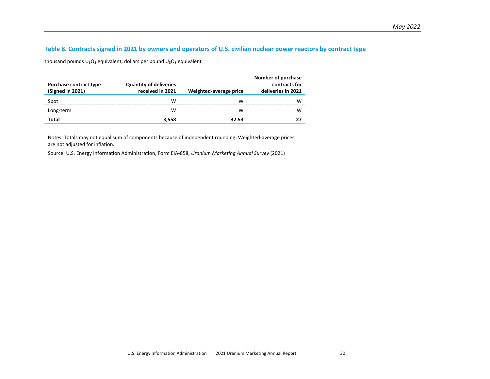#### **Table 8. Contracts signed in 2021 by owners and operators of U.S. civilian nuclear power reactors by contract type**

thousand pounds  $U_3O_8$  equivalent; dollars per pound  $U_3O_8$  equivalent

| Purchase contract type<br>(Signed in 2021) | <b>Quantity of deliveries</b><br>received in 2021 | Weighted-average price | <b>Number of purchase</b><br>contracts for<br>deliveries in 2021 |
|--------------------------------------------|---------------------------------------------------|------------------------|------------------------------------------------------------------|
| Spot                                       | w                                                 | w                      |                                                                  |
| Long-term                                  | VV.                                               | w                      |                                                                  |
| Total                                      | 3.558                                             | 32.53                  |                                                                  |

<span id="page-37-0"></span>Notes: Totals may not equal sum of components because of independent rounding. Weighted-average prices are not adjusted for inflation.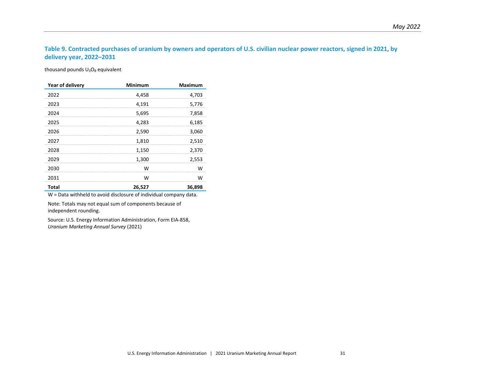# **Table 9. Contracted purchases of uranium by owners and operators of U.S. civilian nuclear power reactors, signed in 2021, by delivery year, 2022–2031**

thousand pounds  $U_3O_8$  equivalent

| Year of delivery | <b>Minimum</b> | <b>Maximum</b> |
|------------------|----------------|----------------|
| 2022             | 4,458          | 4,703          |
| 2023             | 4,191          | 5,776          |
| 2024             | 5,695          | 7,858          |
| 2025             | 4,283          | 6,185          |
| 2026             | 2,590          | 3,060          |
| 2027             | 1,810          | 2,510          |
| 2028             | 1,150          | 2,370          |
| 2029             | 1,300          | 2,553          |
| 2030             | W              | w              |
| 2031             | w              | w              |
| <b>Total</b>     | 26,527         | 36,898         |

<span id="page-38-0"></span>W = Data withheld to avoid disclosure of individual company data.

Note: Totals may not equal sum of components because of independent rounding.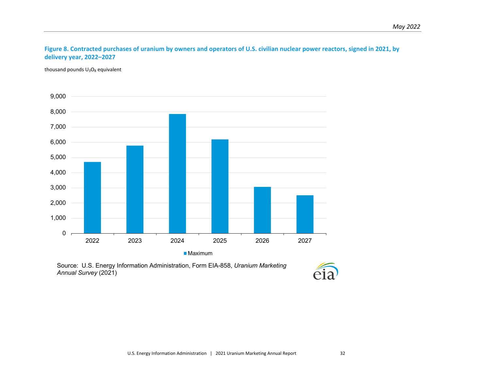# **Figure 8. Contracted purchases of uranium by owners and operators of U.S. civilian nuclear power reactors, signed in 2021, by delivery year, 2022–2027**

thousand pounds  $U_3O_8$  equivalent

<span id="page-39-0"></span>![](_page_39_Figure_3.jpeg)

■ Maximum

![](_page_39_Picture_6.jpeg)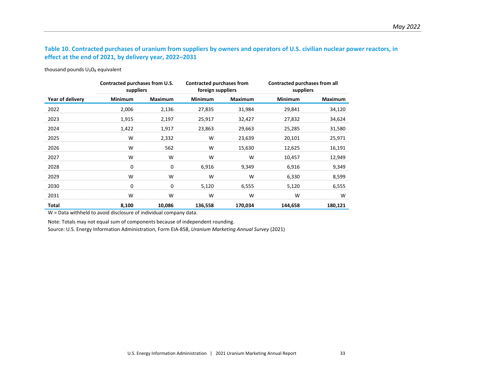# **Table 10. Contracted purchases of uranium from suppliers by owners and operators of U.S. civilian nuclear power reactors, in effect at the end of 2021, by delivery year, 2022–2031**

thousand pounds  $U_3O_8$  equivalent

|                  | Contracted purchases from U.S.<br>suppliers |                | Contracted purchases from<br>foreign suppliers |                | <b>Contracted purchases from all</b><br>suppliers |         |
|------------------|---------------------------------------------|----------------|------------------------------------------------|----------------|---------------------------------------------------|---------|
| Year of delivery | Minimum                                     | <b>Maximum</b> | <b>Minimum</b>                                 | <b>Maximum</b> | <b>Minimum</b>                                    | Maximum |
| 2022             | 2,006                                       | 2,136          | 27,835                                         | 31,984         | 29,841                                            | 34,120  |
| 2023             | 1,915                                       | 2,197          | 25,917                                         | 32,427         | 27,832                                            | 34,624  |
| 2024             | 1,422                                       | 1,917          | 23,863                                         | 29,663         | 25,285                                            | 31,580  |
| 2025             | W                                           | 2,332          | W                                              | 23,639         | 20,101                                            | 25,971  |
| 2026             | W                                           | 562            | W                                              | 15,630         | 12,625                                            | 16,191  |
| 2027             | W                                           | W              | W                                              | W              | 10,457                                            | 12,949  |
| 2028             | 0                                           | 0              | 6,916                                          | 9,349          | 6,916                                             | 9,349   |
| 2029             | W                                           | W              | W                                              | W              | 6,330                                             | 8,599   |
| 2030             | 0                                           | 0              | 5,120                                          | 6,555          | 5,120                                             | 6,555   |
| 2031             | W                                           | W              | W                                              | W              | W                                                 | W       |
| Total            | 8,100                                       | 10,086         | 136,558                                        | 170,034        | 144,658                                           | 180,121 |

<span id="page-40-0"></span>W = Data withheld to avoid disclosure of individual company data.

Note: Totals may not equal sum of components because of independent rounding.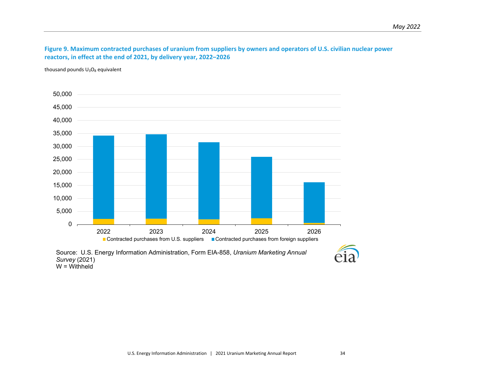**Figure 9. Maximum contracted purchases of uranium from suppliers by owners and operators of U.S. civilian nuclear power reactors, in effect at the end of 2021, by delivery year, 2022–2026**

thousand pounds  $U_3O_8$  equivalent

<span id="page-41-0"></span>![](_page_41_Figure_3.jpeg)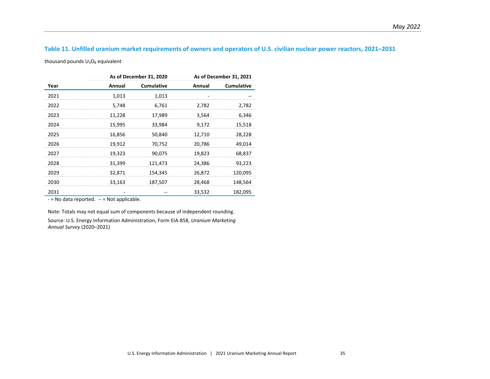# **Table 11. Unfilled uranium market requirements of owners and operators of U.S. civilian nuclear power reactors, 2021–2031**

thousand pounds  $U_3O_8$  equivalent

|      |        | As of December 31, 2020 | As of December 31, 2021 |            |  |  |
|------|--------|-------------------------|-------------------------|------------|--|--|
| Year | Annual | <b>Cumulative</b>       | Annual                  | Cumulative |  |  |
| 2021 | 1,013  | 1,013                   |                         |            |  |  |
| 2022 | 5,748  | 6,761                   | 2,782                   | 2,782      |  |  |
| 2023 | 11,228 | 17,989                  | 3,564                   | 6,346      |  |  |
| 2024 | 15,995 | 33,984                  | 9,172                   | 15,518     |  |  |
| 2025 | 16,856 | 50,840                  | 12,710                  | 28,228     |  |  |
| 2026 | 19,912 | 70,752                  | 20,786                  | 49,014     |  |  |
| 2027 | 19,323 | 90,075                  | 19,823                  | 68,837     |  |  |
| 2028 | 31,399 | 121,473                 | 24,386                  | 93,223     |  |  |
| 2029 | 32,871 | 154,345                 | 26,872                  | 120,095    |  |  |
| 2030 | 33,163 | 187,507                 | 28,468                  | 148,564    |  |  |
| 2031 |        |                         | 33,532                  | 182,095    |  |  |

<span id="page-42-0"></span>- = No data reported. -- = Not applicable.

Note: Totals may not equal sum of components because of independent rounding.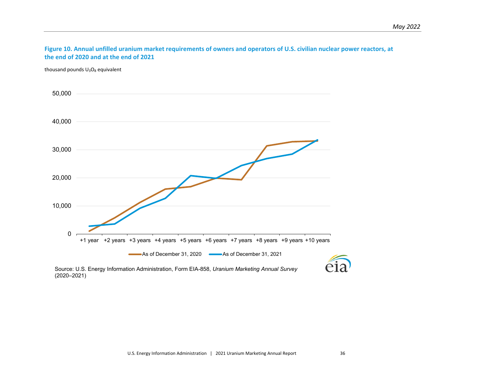**Figure 10. Annual unfilled uranium market requirements of owners and operators of U.S. civilian nuclear power reactors, at the end of 2020 and at the end of 2021**

thousand pounds  $U_3O_8$  equivalent

<span id="page-43-0"></span>![](_page_43_Figure_3.jpeg)

![](_page_43_Picture_5.jpeg)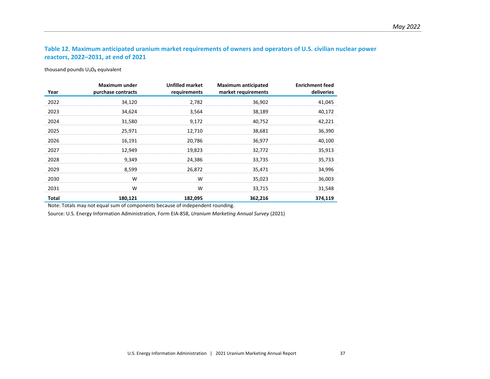# **Table 12. Maximum anticipated uranium market requirements of owners and operators of U.S. civilian nuclear power reactors, 2022–2031, at end of 2021**

thousand pounds  $U_3O_8$  equivalent

| Year  | Maximum under<br>purchase contracts | <b>Unfilled market</b><br>requirements | <b>Maximum anticipated</b><br>market requirements | <b>Enrichment feed</b><br>deliveries |
|-------|-------------------------------------|----------------------------------------|---------------------------------------------------|--------------------------------------|
| 2022  | 34,120                              | 2,782                                  | 36,902                                            | 41,045                               |
| 2023  | 34,624                              | 3,564                                  | 38,189                                            | 40,172                               |
| 2024  | 31,580                              | 9,172                                  | 40,752                                            | 42,221                               |
| 2025  | 25,971                              | 12,710                                 | 38,681                                            | 36,390                               |
| 2026  | 16,191                              | 20,786                                 | 36,977                                            | 40,100                               |
| 2027  | 12,949                              | 19,823                                 | 32,772                                            | 35,913                               |
| 2028  | 9,349                               | 24,386                                 | 33,735                                            | 35,733                               |
| 2029  | 8,599                               | 26,872                                 | 35,471                                            | 34,996                               |
| 2030  | W                                   | W                                      | 35,023                                            | 36,003                               |
| 2031  | W                                   | W                                      | 33,715                                            | 31,548                               |
| Total | 180,121                             | 182,095                                | 362,216                                           | 374,119                              |

<span id="page-44-0"></span>Note: Totals may not equal sum of components because of independent rounding.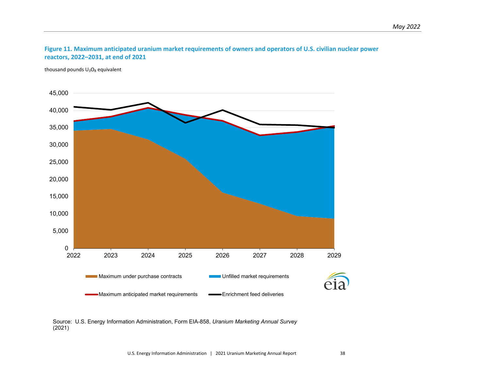![](_page_45_Figure_1.jpeg)

thousand pounds  $U_3O_8$  equivalent

<span id="page-45-0"></span>![](_page_45_Figure_3.jpeg)

Source: U.S. Energy Information Administration, Form EIA-858, *Uranium Marketing Annual Survey* (2021)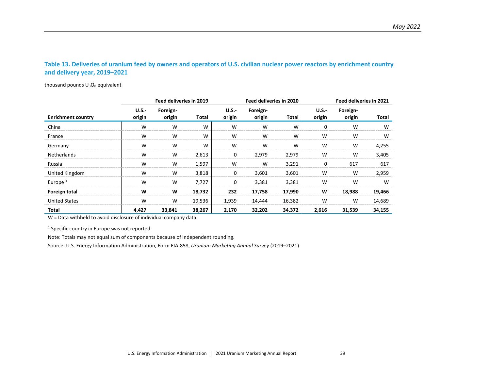#### **Table 13. Deliveries of uranium feed by owners and operators of U.S. civilian nuclear power reactors by enrichment country and delivery year, 2019–2021**

thousand pounds  $U_3O_8$  equivalent

|                           | Feed deliveries in 2019 |                    |        | Feed deliveries in 2020 |                    |        |                        | Feed deliveries in 2021 |        |
|---------------------------|-------------------------|--------------------|--------|-------------------------|--------------------|--------|------------------------|-------------------------|--------|
| <b>Enrichment country</b> | $U.S.-$<br>origin       | Foreign-<br>origin | Total  | <b>U.S.-</b><br>origin  | Foreign-<br>origin | Total  | <b>U.S.-</b><br>origin | Foreign-<br>origin      | Total  |
| China                     | W                       | W                  | W      | W                       | W                  | W      | 0                      | W                       | W      |
| France                    | W                       | W                  | W      | W                       | W                  | W      | W                      | W                       | W      |
| Germany                   | W                       | W                  | W      | W                       | W                  | W      | W                      | W                       | 4,255  |
| <b>Netherlands</b>        | W                       | W                  | 2,613  | 0                       | 2,979              | 2,979  | W                      | W                       | 3,405  |
| Russia                    | W                       | W                  | 1,597  | W                       | W                  | 3,291  | 0                      | 617                     | 617    |
| United Kingdom            | W                       | W                  | 3,818  | 0                       | 3,601              | 3,601  | W                      | W                       | 2,959  |
| Europe $1$                | W                       | W                  | 7,727  | 0                       | 3,381              | 3,381  | W                      | W                       | W      |
| Foreign total             | W                       | W                  | 18,732 | 232                     | 17,758             | 17,990 | W                      | 18,988                  | 19,466 |
| <b>United States</b>      | W                       | W                  | 19,536 | 1,939                   | 14,444             | 16,382 | W                      | W                       | 14,689 |
| Total                     | 4.427                   | 33,841             | 38,267 | 2,170                   | 32,202             | 34,372 | 2,616                  | 31,539                  | 34,155 |

<span id="page-46-0"></span>W = Data withheld to avoid disclosure of individual company data.

<sup>1</sup> Specific country in Europe was not reported.

Note: Totals may not equal sum of components because of independent rounding.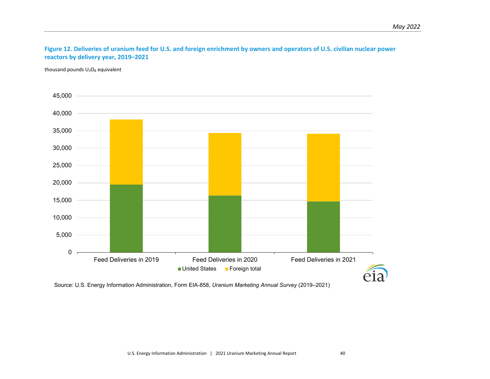# **Figure 12. Deliveries of uranium feed for U.S. and foreign enrichment by owners and operators of U.S. civilian nuclear power reactors by delivery year, 2019–2021**

thousand pounds  $U_3O_8$  equivalent

<span id="page-47-0"></span>![](_page_47_Figure_3.jpeg)

Source: U.S. Energy Information Administration, Form EIA-858, *Uranium Marketing Annual Survey* (2019–2021)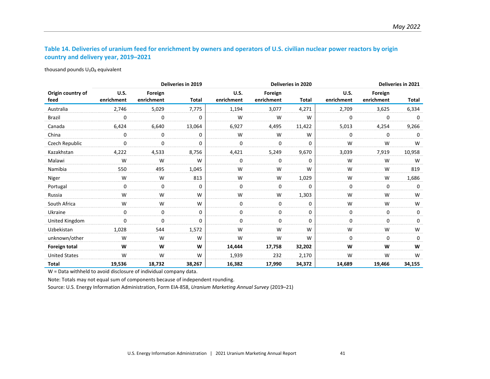# **Table 14. Deliveries of uranium feed for enrichment by owners and operators of U.S. civilian nuclear power reactors by origin country and delivery year, 2019–2021**

thousand pounds  $U_3O_8$  equivalent

<span id="page-48-0"></span>

|                           | Deliveries in 2019        |                       |              |                    | <b>Deliveries in 2020</b> |              |                           |                       | Deliveries in 2021 |  |
|---------------------------|---------------------------|-----------------------|--------------|--------------------|---------------------------|--------------|---------------------------|-----------------------|--------------------|--|
| Origin country of<br>feed | <b>U.S.</b><br>enrichment | Foreign<br>enrichment | <b>Total</b> | U.S.<br>enrichment | Foreign<br>enrichment     | <b>Total</b> | <b>U.S.</b><br>enrichment | Foreign<br>enrichment | Total              |  |
| Australia                 | 2,746                     | 5,029                 | 7,775        | 1,194              | 3,077                     | 4,271        | 2,709                     | 3,625                 | 6,334              |  |
| <b>Brazil</b>             | 0                         | 0                     | $\Omega$     | W                  | W                         | W            | 0                         | 0                     | $\Omega$           |  |
| Canada                    | 6,424                     | 6,640                 | 13,064       | 6,927              | 4,495                     | 11,422       | 5,013                     | 4,254                 | 9,266              |  |
| China                     | 0                         | 0                     | 0            | W                  | W                         | W            | 0                         | 0                     | 0                  |  |
| Czech Republic            | 0                         | $\mathbf 0$           | 0            | 0                  | 0                         | 0            | W                         | W                     | W                  |  |
| Kazakhstan                | 4,222                     | 4,533                 | 8,756        | 4,421              | 5,249                     | 9,670        | 3,039                     | 7,919                 | 10,958             |  |
| Malawi                    | W                         | W                     | W            | 0                  | 0                         | 0            | W                         | W                     | W                  |  |
| Namibia                   | 550                       | 495                   | 1,045        | W                  | W                         | W            | W                         | W                     | 819                |  |
| Niger                     | W                         | W                     | 813          | W                  | W                         | 1,029        | W                         | W                     | 1,686              |  |
| Portugal                  | 0                         | $\mathbf 0$           | 0            | 0                  | $\mathbf 0$               | 0            | 0                         | 0                     | 0                  |  |
| Russia                    | W                         | W                     | W            | W                  | W                         | 1,303        | W                         | W                     | W                  |  |
| South Africa              | W                         | W                     | W            | 0                  | 0                         | 0            | W                         | W                     | W                  |  |
| Ukraine                   | 0                         | 0                     | 0            | 0                  | 0                         | 0            | 0                         | 0                     | 0                  |  |
| United Kingdom            | $\Omega$                  | $\Omega$              | 0            | $\Omega$           | $\mathbf 0$               | $\Omega$     | 0                         | $\Omega$              | $\Omega$           |  |
| Uzbekistan                | 1,028                     | 544                   | 1,572        | W                  | W                         | W            | W                         | W                     | W                  |  |
| unknown/other             | W                         | W                     | W            | W                  | W                         | W            | 0                         | 0                     | 0                  |  |
| Foreign total             | W                         | W                     | W            | 14,444             | 17,758                    | 32,202       | W                         | W                     | W                  |  |
| <b>United States</b>      | W                         | W                     | W            | 1,939              | 232                       | 2,170        | W                         | W                     | W                  |  |
| <b>Total</b>              | 19,536                    | 18,732                | 38,267       | 16,382             | 17,990                    | 34,372       | 14,689                    | 19,466                | 34,155             |  |

W = Data withheld to avoid disclosure of individual company data.

Note: Totals may not equal sum of components because of independent rounding.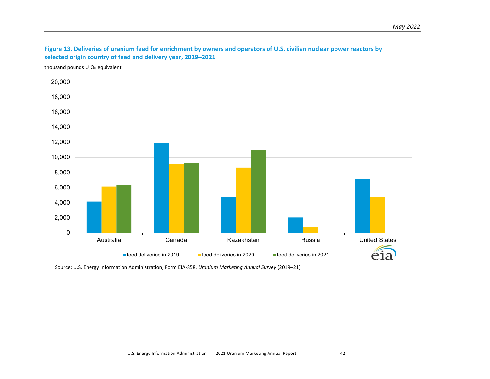![](_page_49_Figure_1.jpeg)

thousand pounds  $U_3O_8$  equivalent

<span id="page-49-0"></span>![](_page_49_Figure_3.jpeg)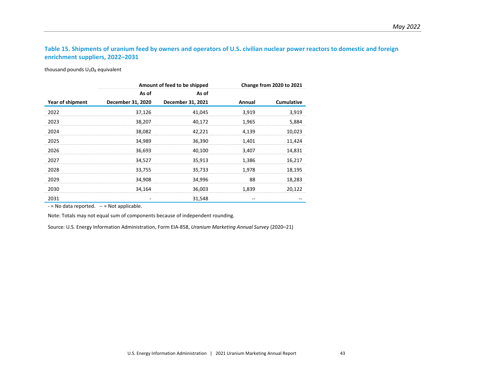## **Table 15. Shipments of uranium feed by owners and operators of U.S. civilian nuclear power reactors to domestic and foreign enrichment suppliers, 2022–2031**

thousand pounds  $U_3O_8$  equivalent

|                  |                   | Amount of feed to be shipped |        | Change from 2020 to 2021 |
|------------------|-------------------|------------------------------|--------|--------------------------|
|                  | As of             | As of                        |        |                          |
| Year of shipment | December 31, 2020 | December 31, 2021            | Annual | <b>Cumulative</b>        |
| 2022             | 37,126            | 41,045                       | 3,919  | 3,919                    |
| 2023             | 38,207            | 40,172                       | 1,965  | 5,884                    |
| 2024             | 38,082            | 42,221                       | 4,139  | 10,023                   |
| 2025             | 34,989            | 36,390                       | 1,401  | 11,424                   |
| 2026             | 36,693            | 40,100                       | 3,407  | 14,831                   |
| 2027             | 34,527            | 35,913                       | 1,386  | 16,217                   |
| 2028             | 33,755            | 35,733                       | 1,978  | 18,195                   |
| 2029             | 34,908            | 34,996                       | 88     | 18,283                   |
| 2030             | 34,164            | 36,003                       | 1,839  | 20,122                   |
| 2031             |                   | 31,548                       |        |                          |

<span id="page-50-0"></span> $-$  = No data reported.  $-$  = Not applicable.

Note: Totals may not equal sum of components because of independent rounding.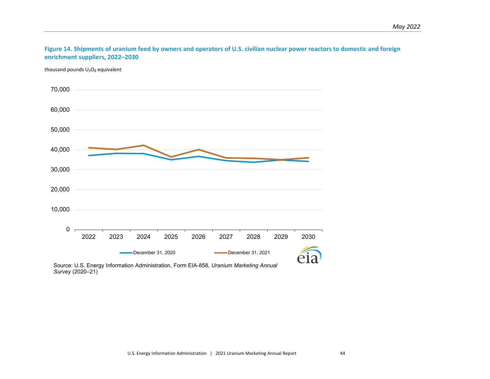#### **Figure 14. Shipments of uranium feed by owners and operators of U.S. civilian nuclear power reactors to domestic and foreign enrichment suppliers, 2022–2030**

thousand pounds  $U_3O_8$  equivalent

<span id="page-51-0"></span>![](_page_51_Figure_3.jpeg)

![](_page_51_Figure_4.jpeg)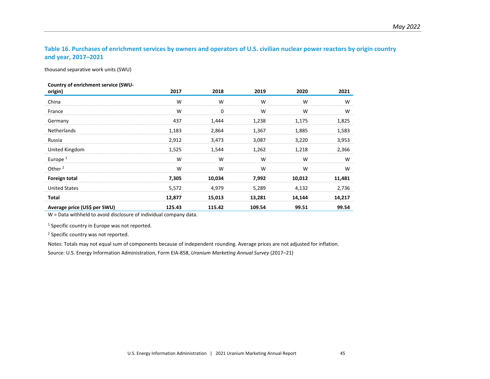# **Table 16. Purchases of enrichment services by owners and operators of U.S. civilian nuclear power reactors by origin country and year, 2017–2021**

thousand separative work units (SWU)

|  | Country of enrichment service (SWU- |  |
|--|-------------------------------------|--|
|--|-------------------------------------|--|

| origin)                      | 2017   | 2018   | 2019   | 2020   | 2021   |
|------------------------------|--------|--------|--------|--------|--------|
| China                        | W      | W      | W      | W      | W      |
| France                       | W      | 0      | W      | W      | W      |
| Germany                      | 437    | 1,444  | 1,238  | 1,175  | 1,825  |
| <b>Netherlands</b>           | 1,183  | 2,864  | 1,367  | 1,885  | 1,583  |
| Russia                       | 2,912  | 3,473  | 3,087  | 3,220  | 3,953  |
| United Kingdom               | 1,525  | 1,544  | 1,262  | 1,218  | 2,366  |
| Europe $1$                   | W      | W      | W      | W      | W      |
| Other <sup>2</sup>           | W      | W      | W      | W      | W      |
| Foreign total                | 7,305  | 10,034 | 7,992  | 10,012 | 11,481 |
| <b>United States</b>         | 5,572  | 4,979  | 5,289  | 4,132  | 2,736  |
| Total                        | 12,877 | 15,013 | 13,281 | 14,144 | 14,217 |
| Average price (US\$ per SWU) | 125.43 | 115.42 | 109.54 | 99.51  | 99.54  |

<span id="page-52-0"></span>W = Data withheld to avoid disclosure of individual company data.

<sup>1</sup> Specific country in Europe was not reported.

<sup>2</sup> Specific country was not reported.

Notes: Totals may not equal sum of components because of independent rounding. Average prices are not adjusted for inflation.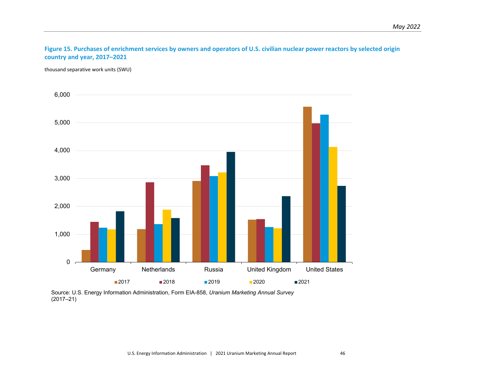#### **Figure 15. Purchases of enrichment services by owners and operators of U.S. civilian nuclear power reactors by selected origin country and year, 2017–2021**

thousand separative work units (SWU)

<span id="page-53-0"></span>![](_page_53_Figure_3.jpeg)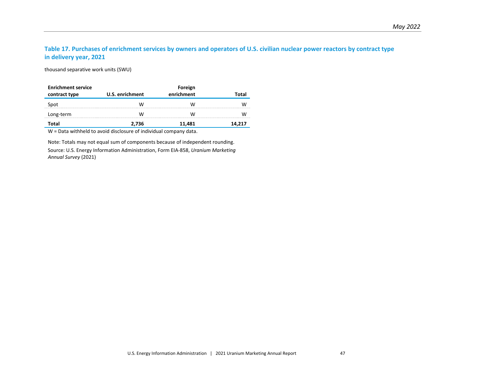# **Table 17. Purchases of enrichment services by owners and operators of U.S. civilian nuclear power reactors by contract type in delivery year, 2021**

thousand separative work units (SWU)

| <b>Enrichment service</b> |                 | Foreign    |        |  |  |  |
|---------------------------|-----------------|------------|--------|--|--|--|
| contract type             | U.S. enrichment | enrichment |        |  |  |  |
| Spot                      | w               | W          |        |  |  |  |
| Long-term                 | w               | W          |        |  |  |  |
| Total                     | 2.736           | 11.481     | 14.217 |  |  |  |

W = Data withheld to avoid disclosure of individual company data.

<span id="page-54-0"></span>Note: Totals may not equal sum of components because of independent rounding.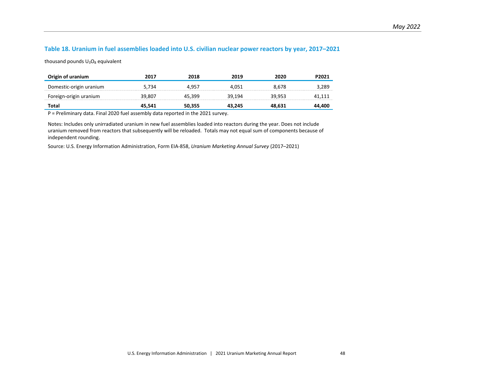#### **Table 18. Uranium in fuel assemblies loaded into U.S. civilian nuclear power reactors by year, 2017–2021**

thousand pounds  $U_3O_8$  equivalent

| Origin of uranium       | 2017   | 2018   | 2019   | 2020   | P2021  |
|-------------------------|--------|--------|--------|--------|--------|
| Domestic-origin uranium | 5.734  | 4.957  | 4.051  | 8.678  | 3.289  |
| Foreign-origin uranium  | 39.807 | 45.399 | 39.194 | 39.953 | 41.111 |
| Total                   | 45.541 | 50,355 | 43.245 | 48.631 | 44.400 |

P = Preliminary data. Final 2020 fuel assembly data reported in the 2021 survey.

<span id="page-55-0"></span>Notes: Includes only unirradiated uranium in new fuel assemblies loaded into reactors during the year. Does not include uranium removed from reactors that subsequently will be reloaded. Totals may not equal sum of components because of independent rounding.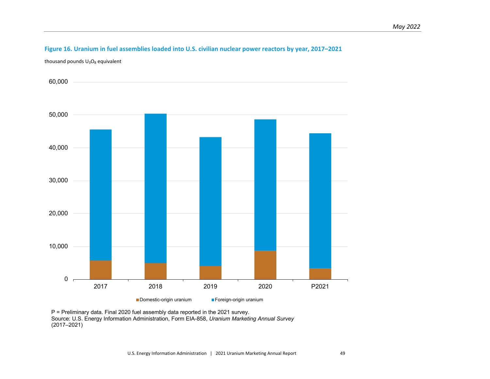# **Figure 16. Uranium in fuel assemblies loaded into U.S. civilian nuclear power reactors by year, 2017–2021**

thousand pounds  $U_3O_8$  equivalent

<span id="page-56-0"></span>![](_page_56_Figure_3.jpeg)

![](_page_56_Figure_4.jpeg)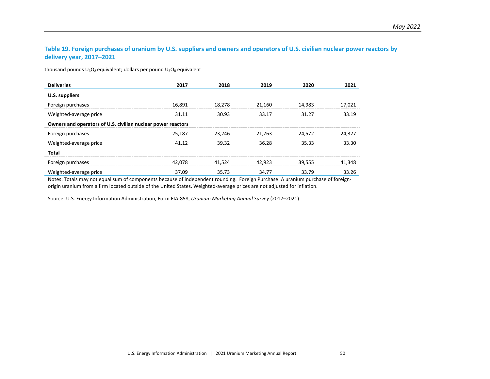#### **Table 19. Foreign purchases of uranium by U.S. suppliers and owners and operators of U.S. civilian nuclear power reactors by delivery year, 2017–2021**

thousand pounds  $U_3O_8$  equivalent; dollars per pound  $U_3O_8$  equivalent

| <b>Deliveries</b>                                            | 2017   | 2018   | 2019   | 2020   | 2021   |
|--------------------------------------------------------------|--------|--------|--------|--------|--------|
| U.S. suppliers                                               |        |        |        |        |        |
| Foreign purchases                                            | 16,891 | 18,278 | 21,160 | 14,983 | 17,021 |
| Weighted-average price                                       | 31.11  | 30.93  | 33.17  | 31 27  | 33.19  |
| Owners and operators of U.S. civilian nuclear power reactors |        |        |        |        |        |
| Foreign purchases                                            | 25,187 | 23.246 | 21.763 | 24,572 | 24,327 |
| Weighted-average price                                       | 41 12  | 39.32  | 36.28  | 35.33  | 33.30  |
| Total                                                        |        |        |        |        |        |
| Foreign purchases                                            | 42.078 | 41,524 | 42.923 | 39,555 | 41,348 |
| Weighted-average price                                       | 37.09  | 35.73  | 34.77  | 33.79  | 33.26  |

<span id="page-57-0"></span>Notes: Totals may not equal sum of components because of independent rounding. Foreign Purchase: A uranium purchase of foreignorigin uranium from a firm located outside of the United States. Weighted-average prices are not adjusted for inflation.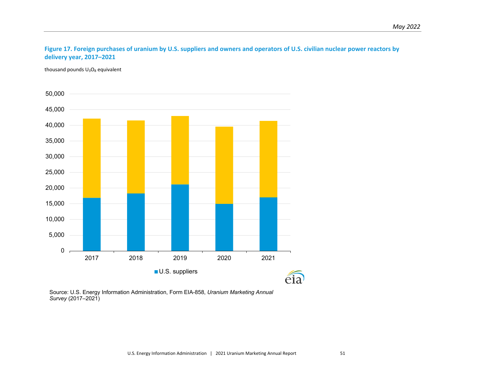# **Figure 17. Foreign purchases of uranium by U.S. suppliers and owners and operators of U.S. civilian nuclear power reactors by delivery year, 2017–2021**

thousand pounds  $U_3O_8$  equivalent

<span id="page-58-0"></span>![](_page_58_Figure_3.jpeg)

Source: U.S. Energy Information Administration, Form EIA-858, *Uranium Marketing Annual Survey* (2017–2021)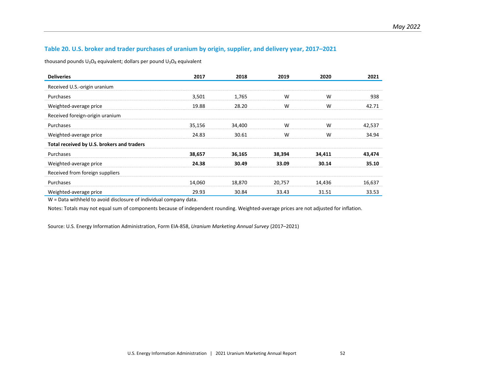#### **Table 20. U.S. broker and trader purchases of uranium by origin, supplier, and delivery year, 2017–2021**

thousand pounds  $U_3O_8$  equivalent; dollars per pound  $U_3O_8$  equivalent

| <b>Deliveries</b>                          | 2017   | 2018   | 2019   | 2020   | 2021   |
|--------------------------------------------|--------|--------|--------|--------|--------|
| Received U.S.-origin uranium               |        |        |        |        |        |
| Purchases                                  | 3,501  | 1,765  | W      | W      | 938    |
| Weighted-average price                     | 19.88  | 28.20  | W      | W      | 42.71  |
| Received foreign-origin uranium            |        |        |        |        |        |
| Purchases                                  | 35,156 | 34,400 | W      | W      | 42,537 |
| Weighted-average price                     | 24.83  | 30.61  | W      | W      | 34.94  |
| Total received by U.S. brokers and traders |        |        |        |        |        |
| Purchases                                  | 38,657 | 36,165 | 38,394 | 34,411 | 43,474 |
| Weighted-average price                     | 24.38  | 30.49  | 33.09  | 30.14  | 35.10  |
| Received from foreign suppliers            |        |        |        |        |        |
| Purchases                                  | 14,060 | 18,870 | 20,757 | 14,436 | 16,637 |
| Weighted-average price                     | 29.93  | 30.84  | 33.43  | 31.51  | 33.53  |

<span id="page-59-0"></span>W = Data withheld to avoid disclosure of individual company data.

Notes: Totals may not equal sum of components because of independent rounding. Weighted-average prices are not adjusted for inflation.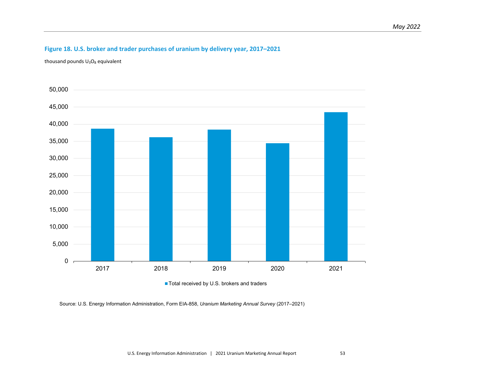# **Figure 18. U.S. broker and trader purchases of uranium by delivery year, 2017–2021**

thousand pounds  $U_3O_8$  equivalent

<span id="page-60-0"></span>![](_page_60_Figure_3.jpeg)

Total received by U.S. brokers and traders

Source: U.S. Energy Information Administration, Form EIA-858, *Uranium Marketing Annual Survey* (2017–2021)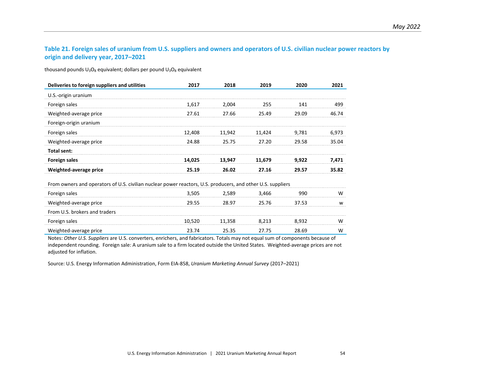# **Table 21. Foreign sales of uranium from U.S. suppliers and owners and operators of U.S. civilian nuclear power reactors by origin and delivery year, 2017–2021**

thousand pounds  $U_3O_8$  equivalent; dollars per pound  $U_3O_8$  equivalent

| Deliveries to foreign suppliers and utilities | 2017   | 2018   | 2019   | 2020  | 2021  |
|-----------------------------------------------|--------|--------|--------|-------|-------|
| U.S.-origin uranium                           |        |        |        |       |       |
| Foreign sales                                 | 1,617  | 2.004  | 255    | 141   | 499   |
| Weighted-average price                        | 27.61  | 27.66  | 25.49  | 29.09 | 46.74 |
| Foreign-origin uranium                        |        |        |        |       |       |
| Foreign sales                                 | 12,408 | 11.942 | 11.424 | 9.781 | 6.973 |
| Weighted-average price                        | 24.88  | 25.75  | 27.20  | 29.58 | 35.04 |
| Total sent:                                   |        |        |        |       |       |
| <b>Foreign sales</b>                          | 14,025 | 13.947 | 11,679 | 9.922 | 7.471 |
| Weighted-average price                        | 25.19  | 26.02  | 27.16  | 29.57 | 35.82 |

<span id="page-61-0"></span>From owners and operators of U.S. civilian nuclear power reactors, U.S. producers, and other U.S. suppliers

| Foreign sales                 | 3.505  | 2.589  | 3.466  | 990   | w |
|-------------------------------|--------|--------|--------|-------|---|
| Weighted-average price        | 29.55  | 28.97  | 25 76  | 37.53 | w |
| From U.S. brokers and traders |        |        |        |       |   |
| Foreign sales                 | 10.520 | 11.358 | 3.213. | 8.932 | W |
| Weighted-average price        | 23 74  | 25 R.S | 27 75  | 28 R9 | W |

Notes: *Other U.S. Suppliers* are U.S. converters, enrichers, and fabricators. Totals may not equal sum of components because of independent rounding. Foreign sale: A uranium sale to a firm located outside the United States. Weighted-average prices are not adjusted for inflation.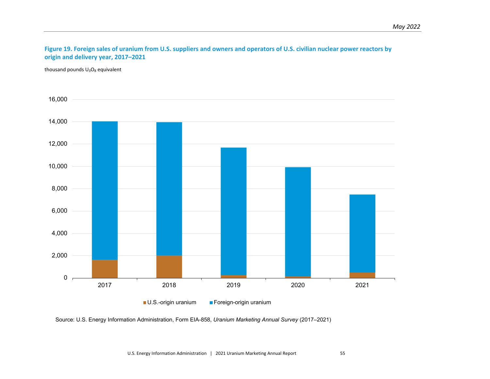# **Figure 19. Foreign sales of uranium from U.S. suppliers and owners and operators of U.S. civilian nuclear power reactors by origin and delivery year, 2017–2021**

thousand pounds  $U_3O_8$  equivalent

<span id="page-62-0"></span>![](_page_62_Figure_3.jpeg)

Source: U.S. Energy Information Administration, Form EIA-858, *Uranium Marketing Annual Survey* (2017–2021)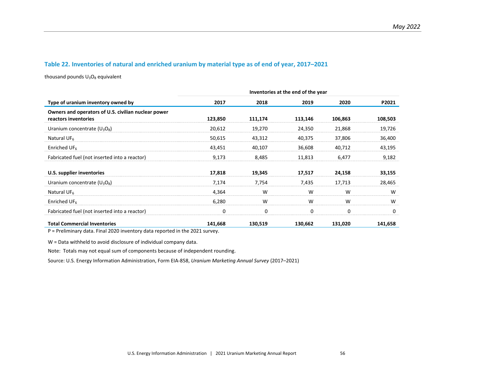#### **Table 22. Inventories of natural and enriched uranium by material type as of end of year, 2017–2021**

thousand pounds  $U_3O_8$  equivalent

|                                                                             | Inventories at the end of the year |         |         |         |         |  |  |
|-----------------------------------------------------------------------------|------------------------------------|---------|---------|---------|---------|--|--|
| Type of uranium inventory owned by                                          | 2017                               | 2018    | 2019    | 2020    | P2021   |  |  |
| Owners and operators of U.S. civilian nuclear power<br>reactors inventories | 123,850                            | 111,174 | 113,146 | 106,863 | 108,503 |  |  |
| Uranium concentrate $(U_3O_8)$                                              | 20,612                             | 19,270  | 24,350  | 21,868  | 19,726  |  |  |
| Natural UF <sub>6</sub>                                                     | 50,615                             | 43,312  | 40,375  | 37,806  | 36,400  |  |  |
| Enriched UF $_6$                                                            | 43,451                             | 40,107  | 36,608  | 40,712  | 43,195  |  |  |
| Fabricated fuel (not inserted into a reactor)                               | 9,173                              | 8,485   | 11,813  | 6,477   | 9,182   |  |  |
| U.S. supplier inventories                                                   | 17,818                             | 19,345  | 17,517  | 24,158  | 33,155  |  |  |
| Uranium concentrate $(U_3O_8)$                                              | 7,174                              | 7,754   | 7,435   | 17,713  | 28,465  |  |  |
| Natural UF <sub>6</sub>                                                     | 4,364                              | W       | W       | W       | W       |  |  |
| Enriched UF <sub>6</sub>                                                    | 6,280                              | W       | W       | W       | W       |  |  |
| Fabricated fuel (not inserted into a reactor)                               | 0                                  | 0       | 0       | 0       | 0       |  |  |
| <b>Total Commercial Inventories</b>                                         | 141,668                            | 130,519 | 130,662 | 131,020 | 141,658 |  |  |

<span id="page-63-0"></span>P = Preliminary data. Final 2020 inventory data reported in the 2021 survey.

W = Data withheld to avoid disclosure of individual company data.

Note: Totals may not equal sum of components because of independent rounding.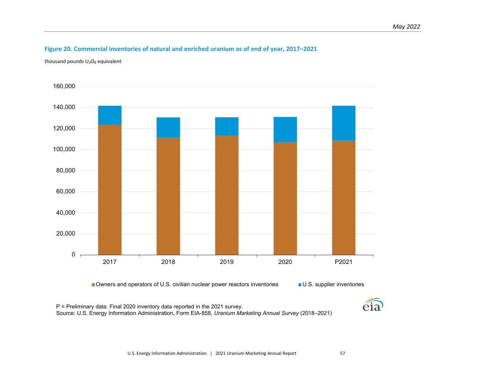# **Figure 20. Commercial inventories of natural and enriched uranium as of end of year, 2017–2021**

thousand pounds  $U_3O_8$  equivalent

<span id="page-64-0"></span>![](_page_64_Figure_3.jpeg)

■ Owners and operators of U.S. civilian nuclear power reactors inventories ■ U.S. supplier inventories

P = Preliminary data. Final 2020 inventory data reported in the 2021 survey. Source: U.S. Energy Information Administration, Form EIA-858, *Uranium Marketing Annual Survey* (2018–2021)

![](_page_64_Picture_7.jpeg)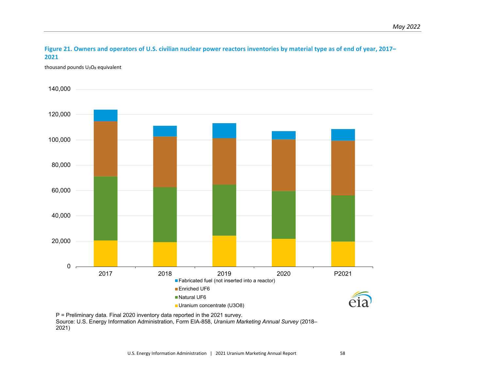**Figure 21. Owners and operators of U.S. civilian nuclear power reactors inventories by material type as of end of year, 2017– 2021**

thousand pounds  $U_3O_8$  equivalent

<span id="page-65-0"></span>![](_page_65_Figure_3.jpeg)

P = Preliminary data. Final 2020 inventory data reported in the 2021 survey. Source: U.S. Energy Information Administration, Form EIA-858, *Uranium Marketing Annual Survey* (2018– 2021)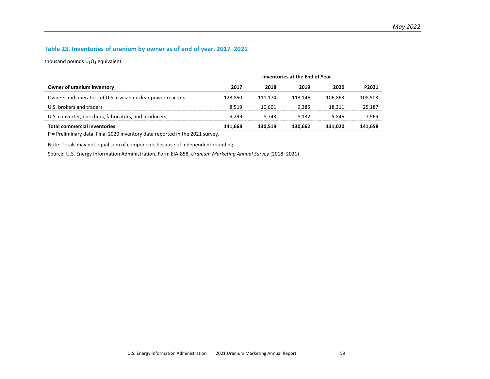# **Table 23. Inventories of uranium by owner as of end of year, 2017–2021**

thousand pounds  $U_3O_8$  equivalent

|                                                              | Inventories at the End of Year |         |         |         |         |
|--------------------------------------------------------------|--------------------------------|---------|---------|---------|---------|
| Owner of uranium inventory                                   | 2017                           | 2018    | 2019    | 2020    | P2021   |
| Owners and operators of U.S. civilian nuclear power reactors | 123.850                        | 111.174 | 113.146 | 106.863 | 108.503 |
| U.S. brokers and traders                                     | 8.519                          | 10.601  | 9.385   | 18.311  | 25.187  |
| U.S. converter, enrichers, fabricators, and producers        | 9.299                          | 8.743   | 8.132   | 5.846   | 7.969   |
| <b>Total commercial inventories</b>                          | 141.668                        | 130.519 | 130.662 | 131.020 | 141,658 |

P = Preliminary data. Final 2020 inventory data reported in the 2021 survey.

<span id="page-66-0"></span>Note: Totals may not equal sum of components because of independent rounding.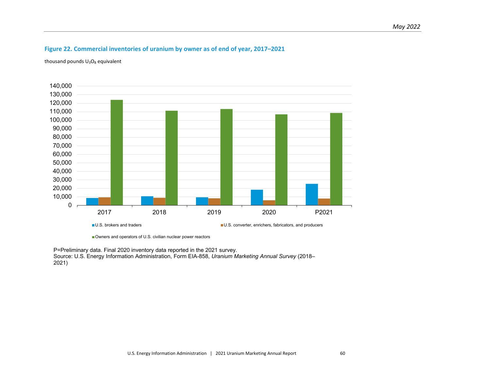# **Figure 22. Commercial inventories of uranium by owner as of end of year, 2017–2021**

thousand pounds  $U_3O_8$  equivalent

<span id="page-67-0"></span>![](_page_67_Figure_3.jpeg)

Owners and operators of U.S. civilian nuclear power reactors

P=Preliminary data. Final 2020 inventory data reported in the 2021 survey. Source: U.S. Energy Information Administration, Form EIA-858, *Uranium Marketing Annual Survey* (2018– 2021)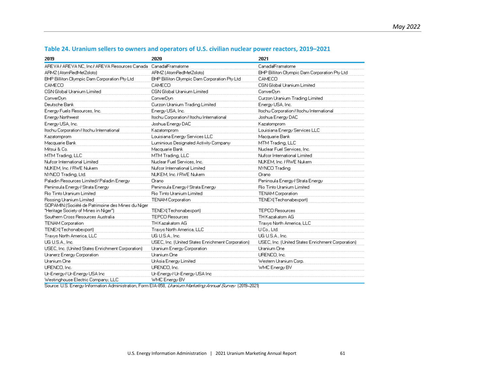<span id="page-68-0"></span>

| 2019                                              | 2020                                              | 2021                                              |
|---------------------------------------------------|---------------------------------------------------|---------------------------------------------------|
| AREVA / AREVA NC, Inc./ AREVA Resources Canada    | Canada/Framatome                                  | Canada/Framatome                                  |
| ARMZ (AtomRedMetZoloto)                           | ARMZ (AtomRedMetZoloto)                           | BHP Billiton Olympic Dam Corporation Pty Ltd      |
| BHP Billiton Olympic Dam Corporation Pty Ltd      | BHP Billiton Olympic Dam Corporation Pty Ltd      | CAMECO                                            |
| <b>CAMECO</b>                                     | CAMECO                                            | CGN Global Uranium Limited                        |
| <b>CGN Global Uranium Limited</b>                 | CGN Global Uranium Limited                        | ConverDyn                                         |
| ConverDun                                         | ConverDyn                                         | Curzon Uranium Trading Limited                    |
| Deutsche Bank                                     | Curzon Uranium Trading Limited                    | Energy USA, Inc.                                  |
| Energy Fuels Resources, Inc.                      | Energy USA, Inc.                                  | Itochu Corporation / Itochu International         |
| Energy Northwest                                  | Itochu Corporation / Itochu International         | Joshua Energy DAC                                 |
| Energy USA, Inc.                                  | Joshua Energy DAC                                 | Kazatomprom                                       |
| Itochu Corporation / Itochu International         | Kazatomprom                                       | Louisiana Energy Services LLC                     |
| Kazatomprom                                       | Louisiana Energy Services LLC                     | Macquarie Bank                                    |
| Macquarie Bank                                    | Luminious Designated Activity Company             | MTM Trading, LLC                                  |
| Mitsui & Co.                                      | Macquarie Bank                                    | Nuclear Fuel Services, Inc.                       |
| MTM Trading, LLC                                  | MTM Trading, LLC                                  | Nufcor International Limited                      |
| Nufcor International Limited                      | Nuclear Fuel Services, Inc.                       | NUKEM, Inc. / RWE Nukem                           |
| NUKEM, Inc. / RWE Nukem                           | Nufcor International Limited                      | NYNCO Trading                                     |
| NYNCO Trading, Ltd.                               | NUKEM, Inc. / RWE Nukem                           | Orano                                             |
| Paladin Resources Limited / Paladin Energy        | Orano                                             | Peninsula Energy / Strata Energy                  |
| Peninsula Energy / Strata Energy                  | Peninsula Energy / Strata Energy                  | Rio Tinto Uranium Limited                         |
| <b>Rio Tinto Uranium Limited</b>                  | Rio Tinto Uranium Limited                         | <b>TENAM Corporation</b>                          |
| Rossing Uranium Limited                           | <b>TENAM Corporation</b>                          | TENEX(Techsnabexport)                             |
| SOPAMIN (Société de Patrimoine des Mines du Niger |                                                   |                                                   |
| "Heritage Society of Mines in Niger")             | TENEX(Techsnabexport)                             | <b>TEPCO Resources</b>                            |
| Southern Cross Resources Australia                | <b>TEPCO Resources</b>                            | TH Kazakatom AG                                   |
| <b>TENAM Corporation</b>                          | TH Kazakatom AG                                   | Traxys North America, LLC                         |
| TENEX[Techsnabexport]                             | Traxys North America, LLC                         | U Co., Ltd.                                       |
| Traxys North America, LLC                         | UG U.S.A., Inc.                                   | UG U.S.A., Inc.                                   |
| UG U.S.A., Inc.                                   | USEC, Inc. (United States Enrichment Corporation) | USEC, Inc. (United States Enrichment Corporation) |
| USEC, Inc. (United States Enrichment Corporation) | Uranium Energy Corporation                        | Uranium One                                       |
| Uranerz Energy Corporation                        | Uranium One                                       | URENCO, Inc.                                      |
| Uranium One                                       | UrAsia Energy Limited                             | Western Uranium Corp.                             |
| URENCO, Inc.                                      | URENCO, Inc.                                      | WMC Energy BV                                     |
| Ur-Energy / Ur-Energy USA Inc.                    | Ur-Energy / Ur-Energy USA Inc.                    |                                                   |
| Westinghouse Electric Company, LLC                | WMC Energy BV                                     |                                                   |

#### **Table 24. Uranium sellers to owners and operators of U.S. civilian nuclear power reactors, 2019–2021**